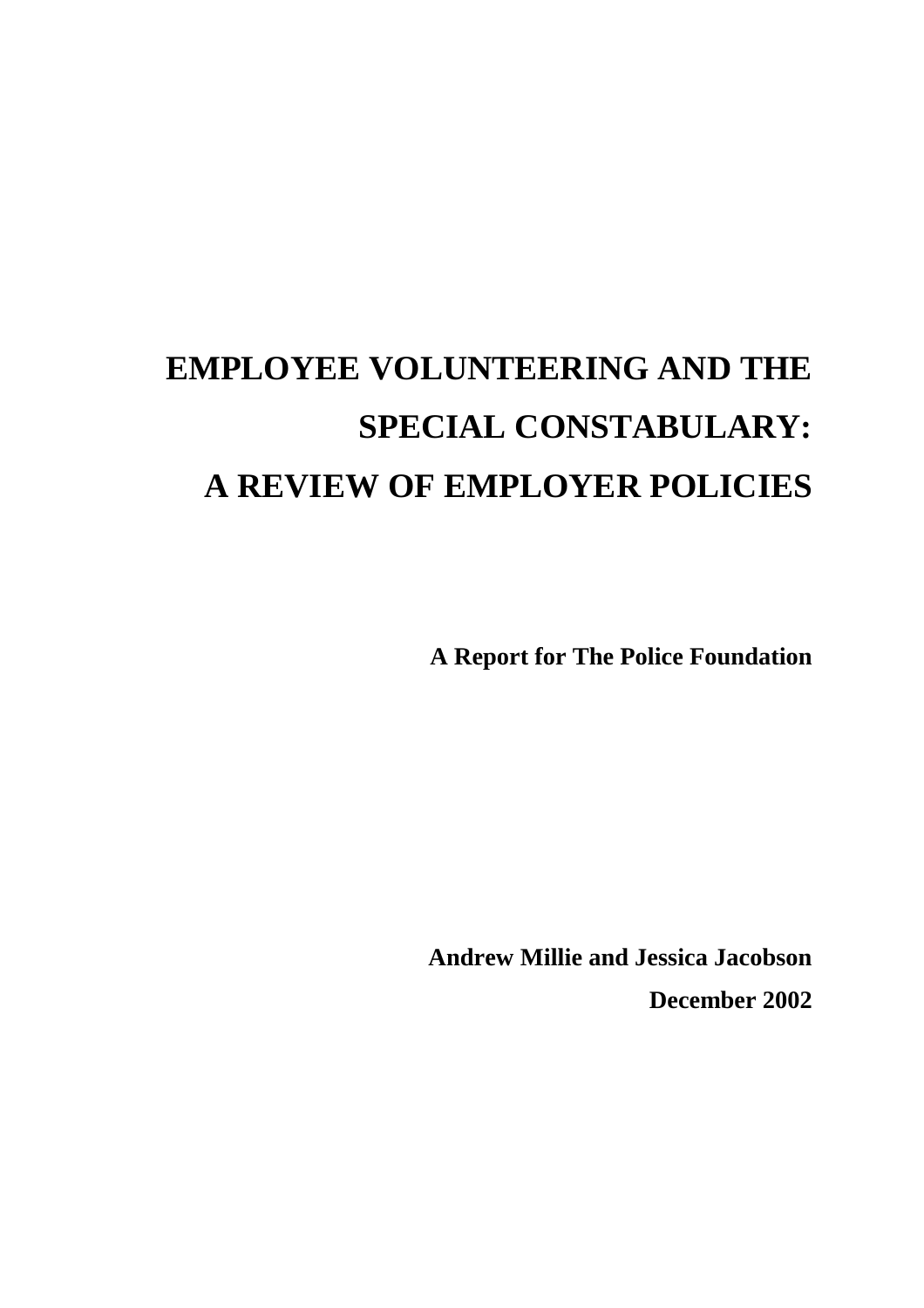# **EMPLOYEE VOLUNTEERING AND THE SPECIAL CONSTABULARY: A REVIEW OF EMPLOYER POLICIES**

**A Report for The Police Foundation** 

**Andrew Millie and Jessica Jacobson December 2002**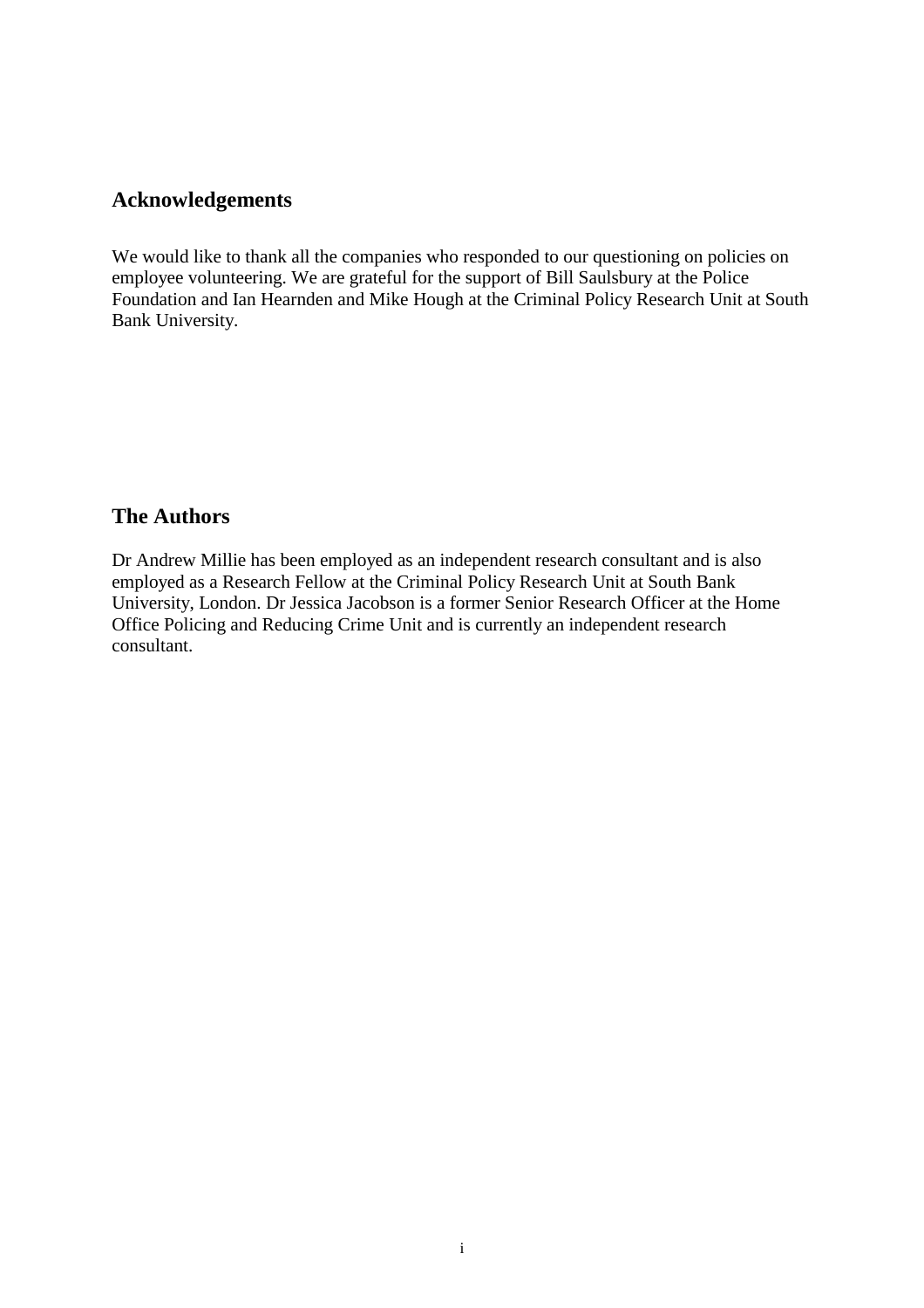#### **Acknowledgements**

We would like to thank all the companies who responded to our questioning on policies on employee volunteering. We are grateful for the support of Bill Saulsbury at the Police Foundation and Ian Hearnden and Mike Hough at the Criminal Policy Research Unit at South Bank University.

#### **The Authors**

Dr Andrew Millie has been employed as an independent research consultant and is also employed as a Research Fellow at the Criminal Policy Research Unit at South Bank University, London. Dr Jessica Jacobson is a former Senior Research Officer at the Home Office Policing and Reducing Crime Unit and is currently an independent research consultant.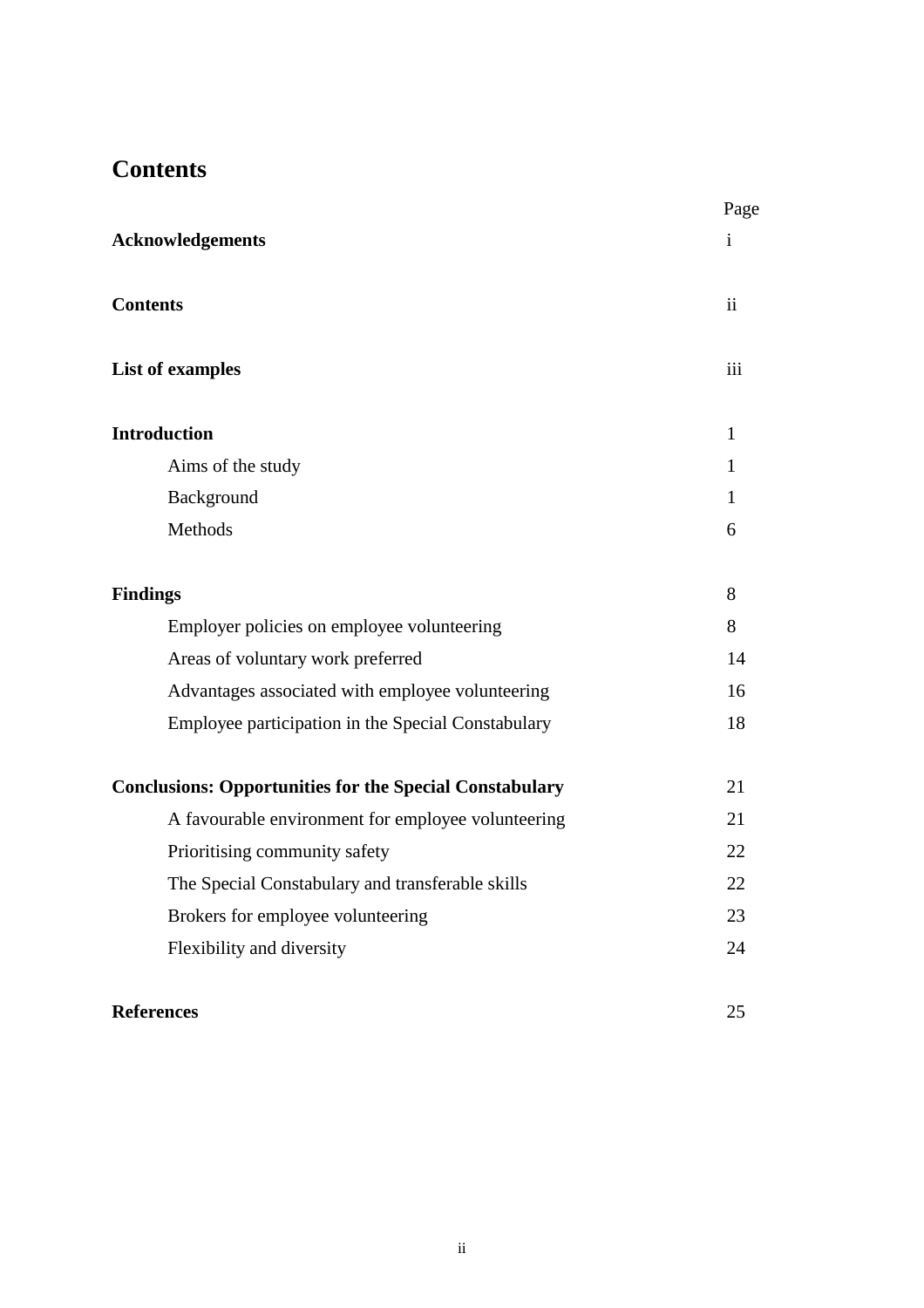### **Contents**

|                                                                | Page                    |
|----------------------------------------------------------------|-------------------------|
| <b>Acknowledgements</b>                                        | $\mathbf{i}$            |
| <b>Contents</b>                                                | $\overline{\mathbf{u}}$ |
| <b>List of examples</b>                                        | iii                     |
| <b>Introduction</b>                                            | $\mathbf{1}$            |
| Aims of the study                                              | 1                       |
| Background                                                     | $\mathbf{1}$            |
| Methods                                                        | 6                       |
| <b>Findings</b>                                                | 8                       |
| Employer policies on employee volunteering                     | 8                       |
| Areas of voluntary work preferred                              | 14                      |
| Advantages associated with employee volunteering               | 16                      |
| Employee participation in the Special Constabulary             | 18                      |
| <b>Conclusions: Opportunities for the Special Constabulary</b> | 21                      |
| A favourable environment for employee volunteering             | 21                      |
| Prioritising community safety                                  | 22                      |
| The Special Constabulary and transferable skills               | 22                      |
| Brokers for employee volunteering                              | 23                      |
| Flexibility and diversity                                      | 24                      |
| <b>References</b>                                              | 25                      |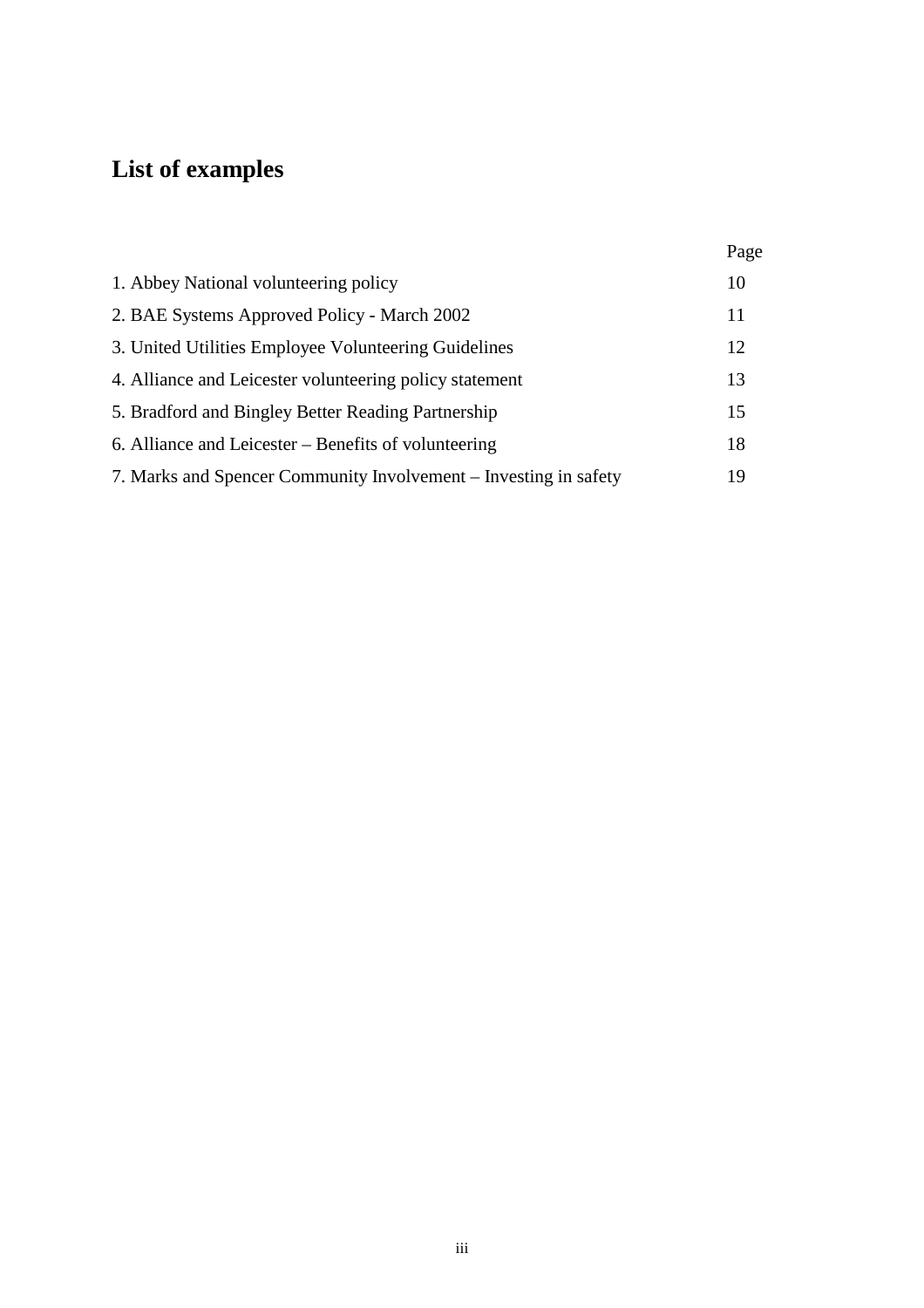## **List of examples**

|                                                                  | Page |
|------------------------------------------------------------------|------|
| 1. Abbey National volunteering policy<br>10                      |      |
| 2. BAE Systems Approved Policy - March 2002<br>11                |      |
| 3. United Utilities Employee Volunteering Guidelines<br>12       |      |
| 4. Alliance and Leicester volunteering policy statement<br>13    |      |
| 5. Bradford and Bingley Better Reading Partnership<br>15         |      |
| 6. Alliance and Leicester – Benefits of volunteering<br>18       |      |
| 7. Marks and Spencer Community Involvement – Investing in safety | 19   |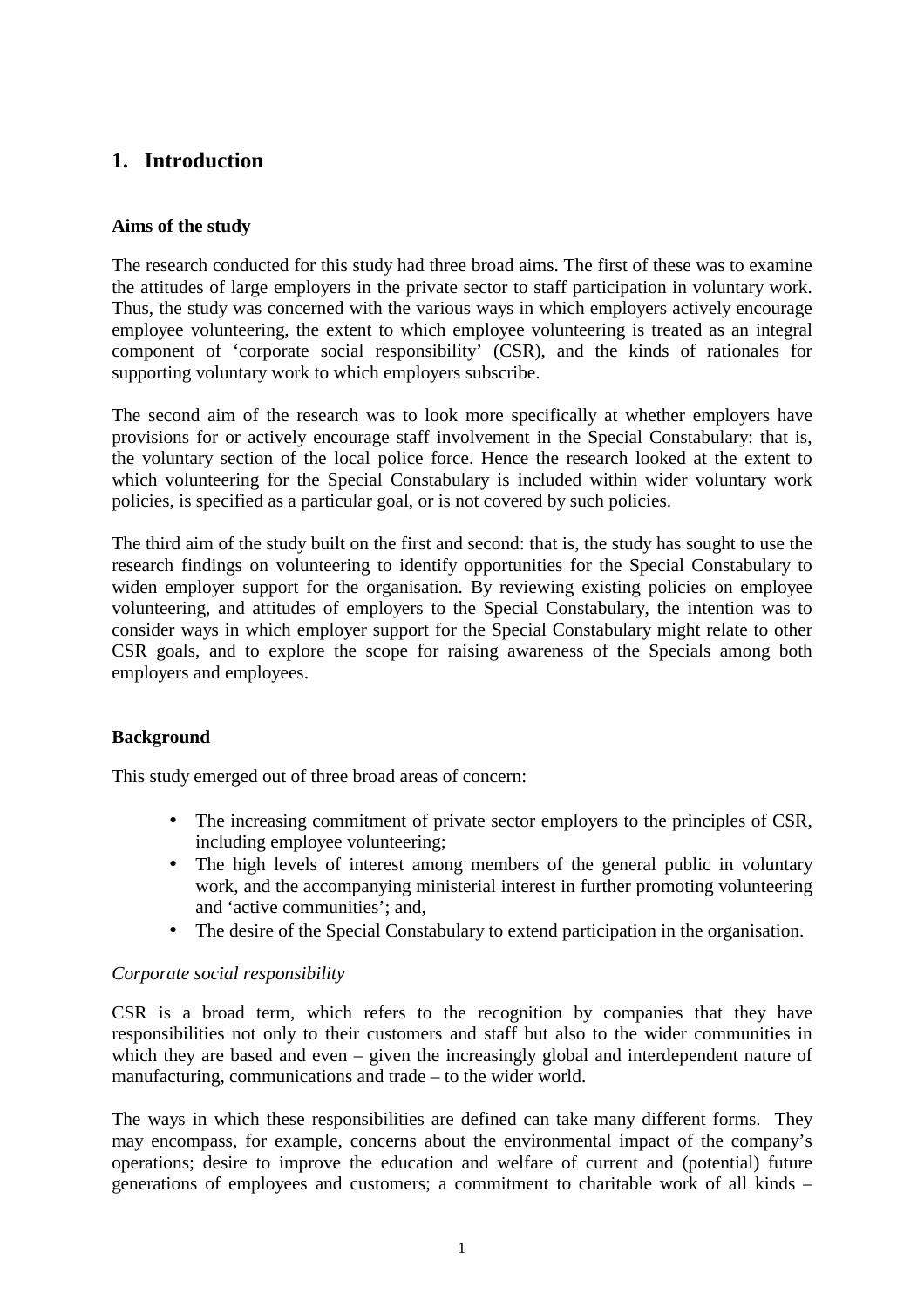### **1. Introduction**

#### **Aims of the study**

The research conducted for this study had three broad aims. The first of these was to examine the attitudes of large employers in the private sector to staff participation in voluntary work. Thus, the study was concerned with the various ways in which employers actively encourage employee volunteering, the extent to which employee volunteering is treated as an integral component of 'corporate social responsibility' (CSR), and the kinds of rationales for supporting voluntary work to which employers subscribe.

The second aim of the research was to look more specifically at whether employers have provisions for or actively encourage staff involvement in the Special Constabulary: that is, the voluntary section of the local police force. Hence the research looked at the extent to which volunteering for the Special Constabulary is included within wider voluntary work policies, is specified as a particular goal, or is not covered by such policies.

The third aim of the study built on the first and second: that is, the study has sought to use the research findings on volunteering to identify opportunities for the Special Constabulary to widen employer support for the organisation. By reviewing existing policies on employee volunteering, and attitudes of employers to the Special Constabulary, the intention was to consider ways in which employer support for the Special Constabulary might relate to other CSR goals, and to explore the scope for raising awareness of the Specials among both employers and employees.

#### **Background**

This study emerged out of three broad areas of concern:

- The increasing commitment of private sector employers to the principles of CSR, including employee volunteering;
- The high levels of interest among members of the general public in voluntary work, and the accompanying ministerial interest in further promoting volunteering and 'active communities'; and,
- The desire of the Special Constabulary to extend participation in the organisation.

#### *Corporate social responsibility*

CSR is a broad term, which refers to the recognition by companies that they have responsibilities not only to their customers and staff but also to the wider communities in which they are based and even – given the increasingly global and interdependent nature of manufacturing, communications and trade – to the wider world.

The ways in which these responsibilities are defined can take many different forms. They may encompass, for example, concerns about the environmental impact of the company's operations; desire to improve the education and welfare of current and (potential) future generations of employees and customers; a commitment to charitable work of all kinds –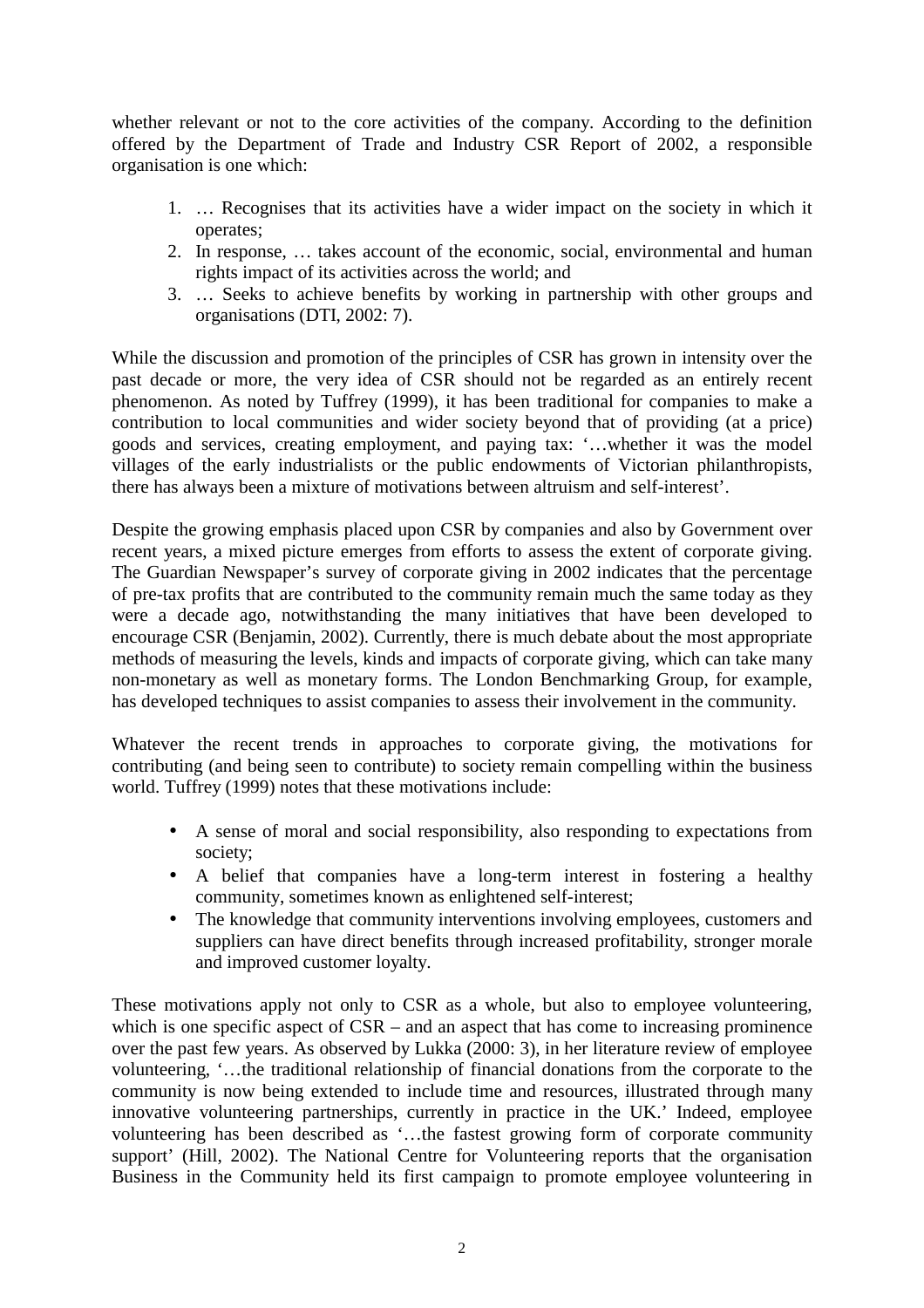whether relevant or not to the core activities of the company. According to the definition offered by the Department of Trade and Industry CSR Report of 2002, a responsible organisation is one which:

- 1. … Recognises that its activities have a wider impact on the society in which it operates;
- 2. In response, … takes account of the economic, social, environmental and human rights impact of its activities across the world; and
- 3. … Seeks to achieve benefits by working in partnership with other groups and organisations (DTI, 2002: 7).

While the discussion and promotion of the principles of CSR has grown in intensity over the past decade or more, the very idea of CSR should not be regarded as an entirely recent phenomenon. As noted by Tuffrey (1999), it has been traditional for companies to make a contribution to local communities and wider society beyond that of providing (at a price) goods and services, creating employment, and paying tax: '…whether it was the model villages of the early industrialists or the public endowments of Victorian philanthropists, there has always been a mixture of motivations between altruism and self-interest'.

Despite the growing emphasis placed upon CSR by companies and also by Government over recent years, a mixed picture emerges from efforts to assess the extent of corporate giving. The Guardian Newspaper's survey of corporate giving in 2002 indicates that the percentage of pre-tax profits that are contributed to the community remain much the same today as they were a decade ago, notwithstanding the many initiatives that have been developed to encourage CSR (Benjamin, 2002). Currently, there is much debate about the most appropriate methods of measuring the levels, kinds and impacts of corporate giving, which can take many non-monetary as well as monetary forms. The London Benchmarking Group, for example, has developed techniques to assist companies to assess their involvement in the community.

Whatever the recent trends in approaches to corporate giving, the motivations for contributing (and being seen to contribute) to society remain compelling within the business world. Tuffrey (1999) notes that these motivations include:

- A sense of moral and social responsibility, also responding to expectations from society;
- A belief that companies have a long-term interest in fostering a healthy community, sometimes known as enlightened self-interest;
- The knowledge that community interventions involving employees, customers and suppliers can have direct benefits through increased profitability, stronger morale and improved customer loyalty.

These motivations apply not only to CSR as a whole, but also to employee volunteering, which is one specific aspect of CSR – and an aspect that has come to increasing prominence over the past few years. As observed by Lukka (2000: 3), in her literature review of employee volunteering, '…the traditional relationship of financial donations from the corporate to the community is now being extended to include time and resources, illustrated through many innovative volunteering partnerships, currently in practice in the UK.' Indeed, employee volunteering has been described as '…the fastest growing form of corporate community support' (Hill, 2002). The National Centre for Volunteering reports that the organisation Business in the Community held its first campaign to promote employee volunteering in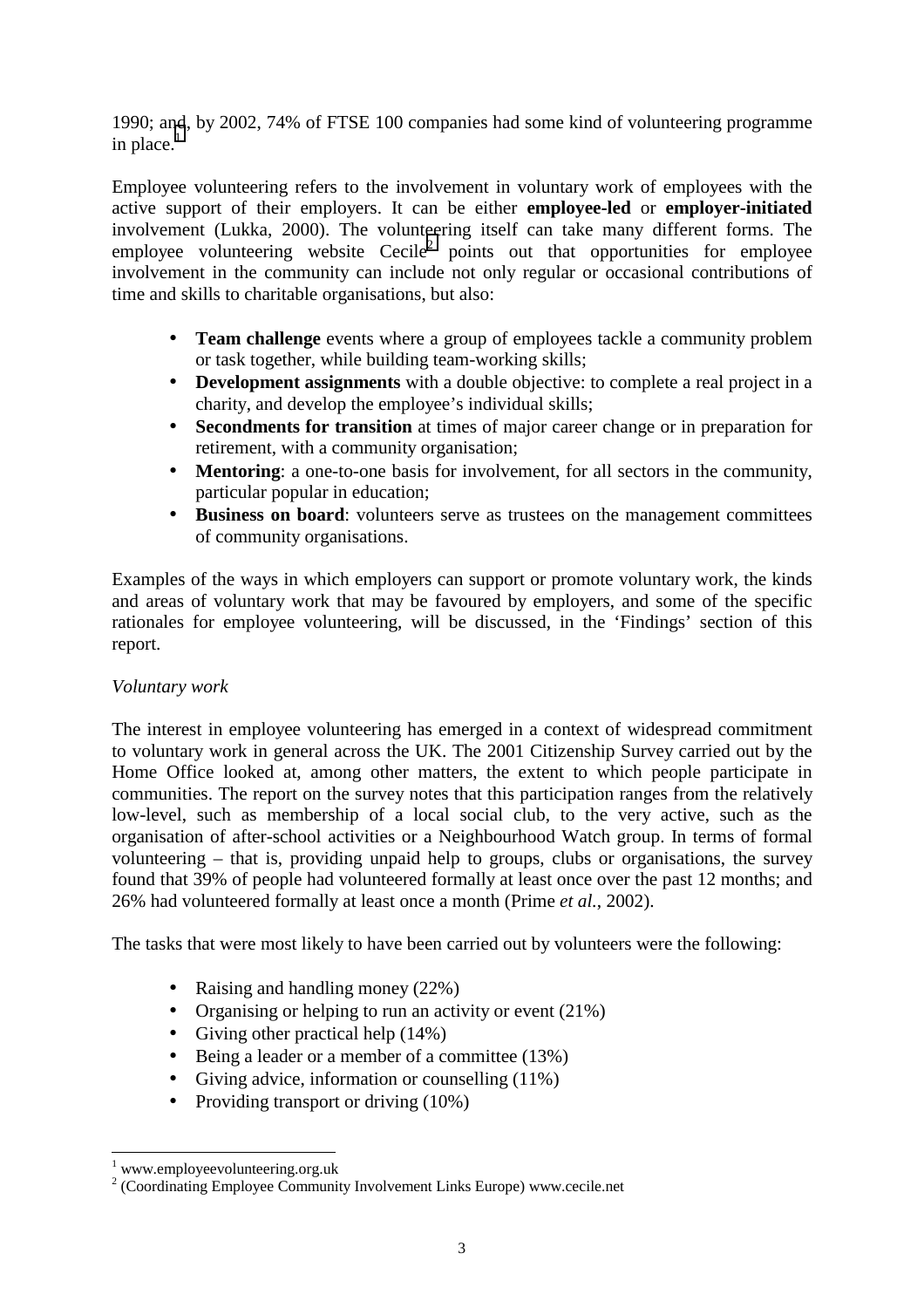1990; and, by 2002, 74% of FTSE 100 companies had some kind of volunteering programme in place. $<sup>1</sup>$ </sup>

Employee volunteering refers to the involvement in voluntary work of employees with the active support of their employers. It can be either **employee-led** or **employer-initiated**  involvement (Lukka, 2000). The volunteering itself can take many different forms. The employee volunteering website  $Cecile<sup>2</sup>$  points out that opportunities for employee involvement in the community can include not only regular or occasional contributions of time and skills to charitable organisations, but also:

- **Team challenge** events where a group of employees tackle a community problem or task together, while building team-working skills;
- **Development assignments** with a double objective: to complete a real project in a charity, and develop the employee's individual skills;
- **Secondments for transition** at times of major career change or in preparation for retirement, with a community organisation;
- **Mentoring**: a one-to-one basis for involvement, for all sectors in the community, particular popular in education;
- **Business on board**: volunteers serve as trustees on the management committees of community organisations.

Examples of the ways in which employers can support or promote voluntary work, the kinds and areas of voluntary work that may be favoured by employers, and some of the specific rationales for employee volunteering, will be discussed, in the 'Findings' section of this report.

#### *Voluntary work*

The interest in employee volunteering has emerged in a context of widespread commitment to voluntary work in general across the UK. The 2001 Citizenship Survey carried out by the Home Office looked at, among other matters, the extent to which people participate in communities. The report on the survey notes that this participation ranges from the relatively low-level, such as membership of a local social club, to the very active, such as the organisation of after-school activities or a Neighbourhood Watch group. In terms of formal volunteering – that is, providing unpaid help to groups, clubs or organisations, the survey found that 39% of people had volunteered formally at least once over the past 12 months; and 26% had volunteered formally at least once a month (Prime *et al.*, 2002).

The tasks that were most likely to have been carried out by volunteers were the following:

- Raising and handling money (22%)
- Organising or helping to run an activity or event (21%)
- Giving other practical help  $(14\%)$
- Being a leader or a member of a committee (13%)
- Giving advice, information or counselling (11%)
- Providing transport or driving (10%)

 $\overline{a}$ 

<sup>&</sup>lt;sup>1</sup> www.employeevolunteering.org.uk

<sup>2</sup> (Coordinating Employee Community Involvement Links Europe) www.cecile.net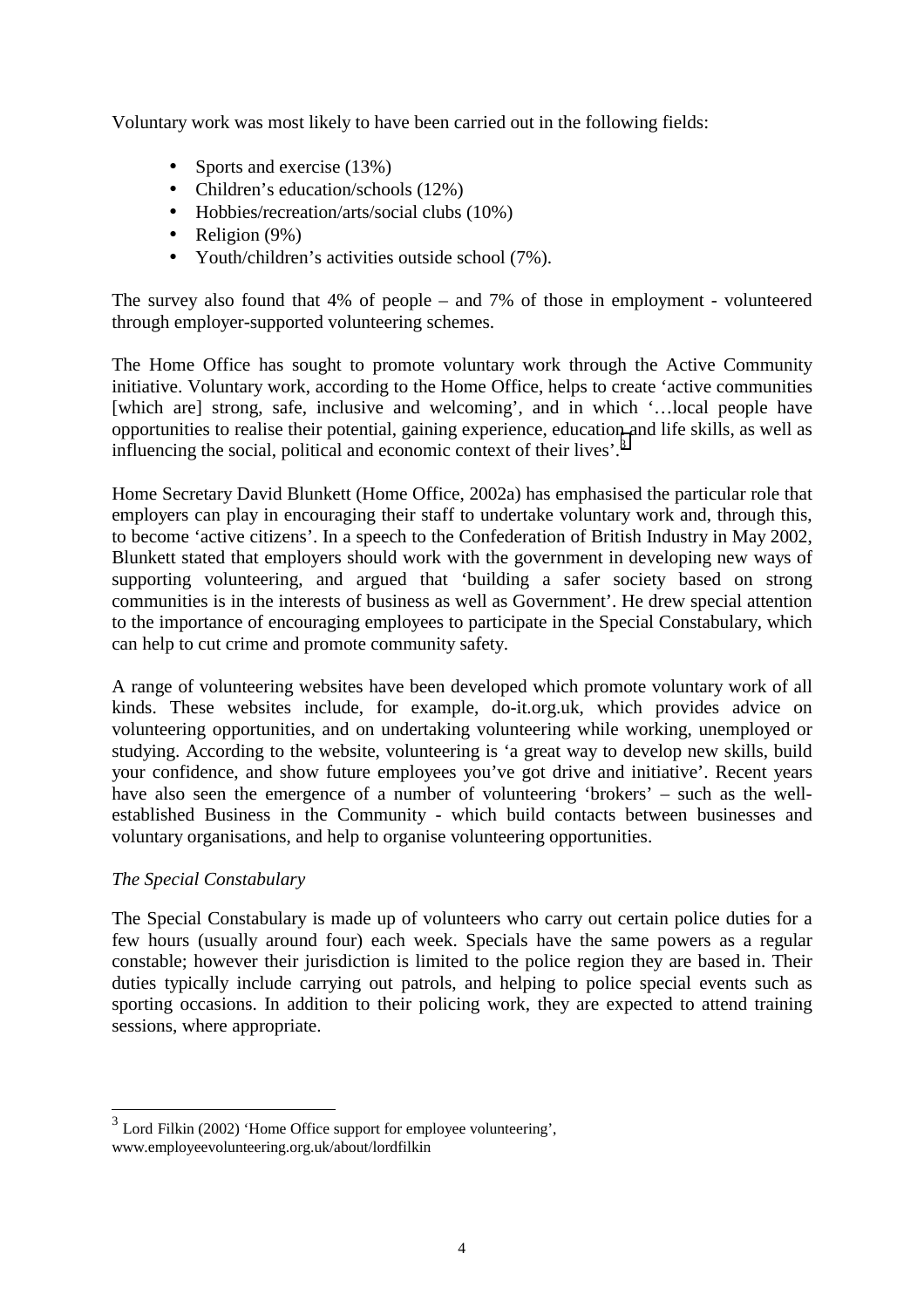Voluntary work was most likely to have been carried out in the following fields:

- Sports and exercise (13%)
- Children's education/schools (12%)
- Hobbies/recreation/arts/social clubs (10%)
- Religion  $(9\%)$
- Youth/children's activities outside school (7%).

The survey also found that 4% of people – and 7% of those in employment - volunteered through employer-supported volunteering schemes.

The Home Office has sought to promote voluntary work through the Active Community initiative. Voluntary work, according to the Home Office, helps to create 'active communities [which are] strong, safe, inclusive and welcoming', and in which '…local people have opportunities to realise their potential, gaining experience, education and life skills, as well as influencing the social, political and economic context of their lives'.<sup>3</sup>

Home Secretary David Blunkett (Home Office, 2002a) has emphasised the particular role that employers can play in encouraging their staff to undertake voluntary work and, through this, to become 'active citizens'. In a speech to the Confederation of British Industry in May 2002, Blunkett stated that employers should work with the government in developing new ways of supporting volunteering, and argued that 'building a safer society based on strong communities is in the interests of business as well as Government'. He drew special attention to the importance of encouraging employees to participate in the Special Constabulary, which can help to cut crime and promote community safety.

A range of volunteering websites have been developed which promote voluntary work of all kinds. These websites include, for example, do-it.org.uk, which provides advice on volunteering opportunities, and on undertaking volunteering while working, unemployed or studying. According to the website, volunteering is 'a great way to develop new skills, build your confidence, and show future employees you've got drive and initiative'. Recent years have also seen the emergence of a number of volunteering 'brokers' – such as the wellestablished Business in the Community - which build contacts between businesses and voluntary organisations, and help to organise volunteering opportunities.

#### *The Special Constabulary*

l

The Special Constabulary is made up of volunteers who carry out certain police duties for a few hours (usually around four) each week. Specials have the same powers as a regular constable; however their jurisdiction is limited to the police region they are based in. Their duties typically include carrying out patrols, and helping to police special events such as sporting occasions. In addition to their policing work, they are expected to attend training sessions, where appropriate.

<sup>3</sup> Lord Filkin (2002) 'Home Office support for employee volunteering', www.employeevolunteering.org.uk/about/lordfilkin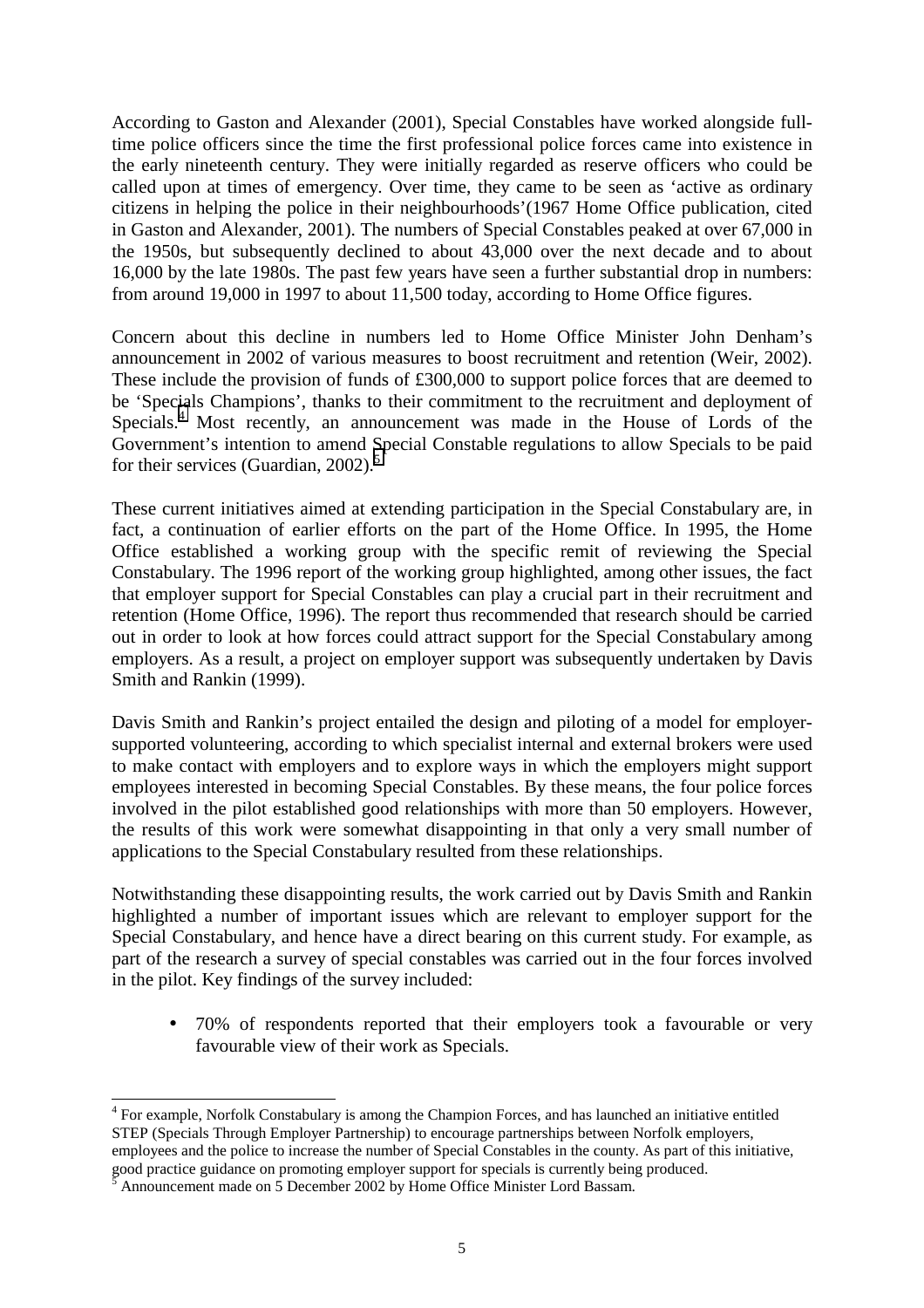According to Gaston and Alexander (2001), Special Constables have worked alongside fulltime police officers since the time the first professional police forces came into existence in the early nineteenth century. They were initially regarded as reserve officers who could be called upon at times of emergency. Over time, they came to be seen as 'active as ordinary citizens in helping the police in their neighbourhoods'(1967 Home Office publication, cited in Gaston and Alexander, 2001). The numbers of Special Constables peaked at over 67,000 in the 1950s, but subsequently declined to about 43,000 over the next decade and to about 16,000 by the late 1980s. The past few years have seen a further substantial drop in numbers: from around 19,000 in 1997 to about 11,500 today, according to Home Office figures.

Concern about this decline in numbers led to Home Office Minister John Denham's announcement in 2002 of various measures to boost recruitment and retention (Weir, 2002). These include the provision of funds of £300,000 to support police forces that are deemed to be 'Specials Champions', thanks to their commitment to the recruitment and deployment of Specials.<sup>4</sup> Most recently, an announcement was made in the House of Lords of the Government's intention to amend Special Constable regulations to allow Specials to be paid for their services (Guardian,  $2002$ ).<sup>5</sup>

These current initiatives aimed at extending participation in the Special Constabulary are, in fact, a continuation of earlier efforts on the part of the Home Office. In 1995, the Home Office established a working group with the specific remit of reviewing the Special Constabulary. The 1996 report of the working group highlighted, among other issues, the fact that employer support for Special Constables can play a crucial part in their recruitment and retention (Home Office, 1996). The report thus recommended that research should be carried out in order to look at how forces could attract support for the Special Constabulary among employers. As a result, a project on employer support was subsequently undertaken by Davis Smith and Rankin (1999).

Davis Smith and Rankin's project entailed the design and piloting of a model for employersupported volunteering, according to which specialist internal and external brokers were used to make contact with employers and to explore ways in which the employers might support employees interested in becoming Special Constables. By these means, the four police forces involved in the pilot established good relationships with more than 50 employers. However, the results of this work were somewhat disappointing in that only a very small number of applications to the Special Constabulary resulted from these relationships.

Notwithstanding these disappointing results, the work carried out by Davis Smith and Rankin highlighted a number of important issues which are relevant to employer support for the Special Constabulary, and hence have a direct bearing on this current study. For example, as part of the research a survey of special constables was carried out in the four forces involved in the pilot. Key findings of the survey included:

• 70% of respondents reported that their employers took a favourable or very favourable view of their work as Specials.

<sup>&</sup>lt;sup>4</sup> For example, Norfolk Constabulary is among the Champion Forces, and has launched an initiative entitled STEP (Specials Through Employer Partnership) to encourage partnerships between Norfolk employers, employees and the police to increase the number of Special Constables in the county. As part of this initiative, good practice guidance on promoting employer support for specials is currently being produced.<br>
<sup>5</sup> Announcement made on 5 December 2002 by Home Office Minister Lord Beccam

Announcement made on 5 December 2002 by Home Office Minister Lord Bassam.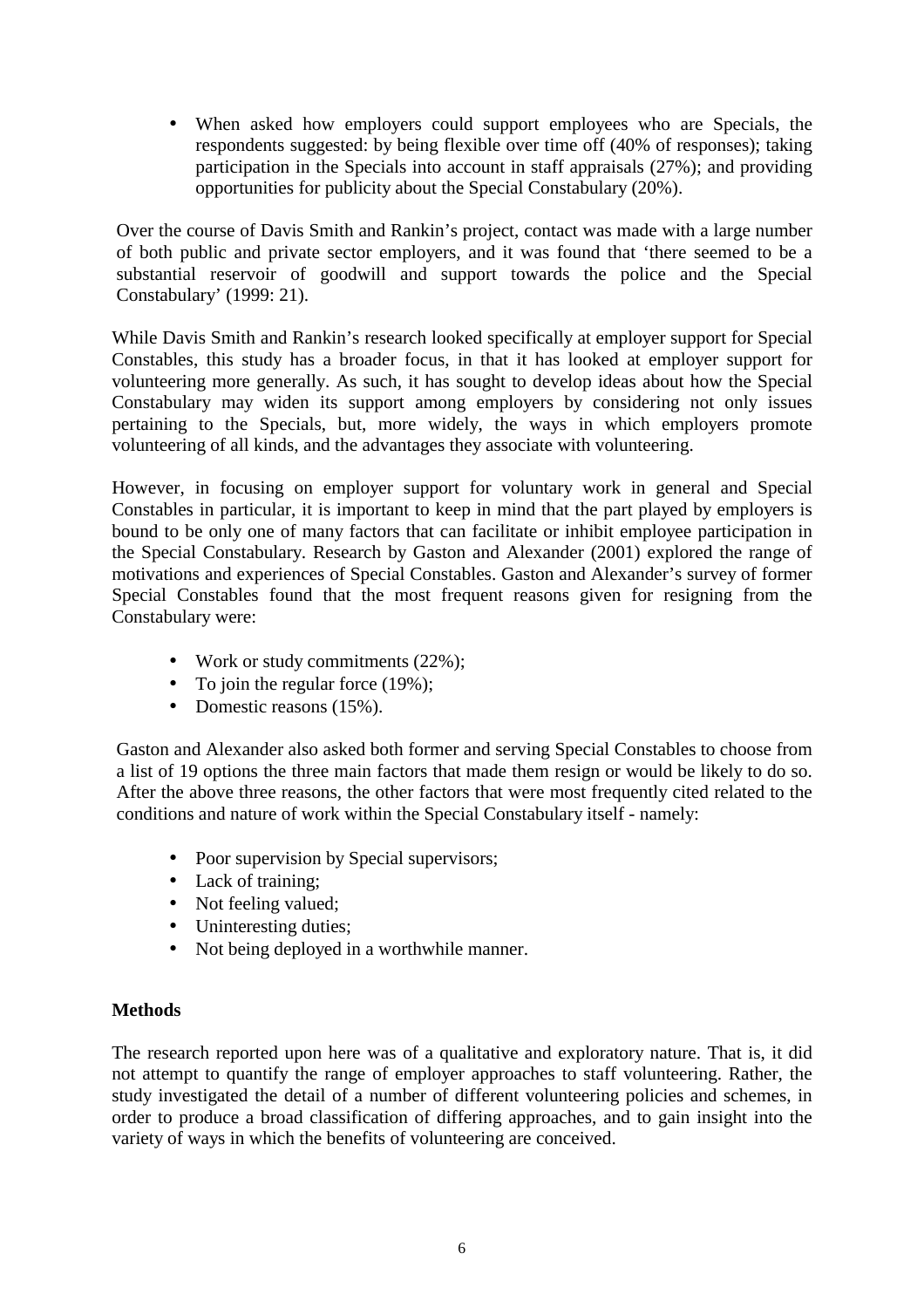• When asked how employers could support employees who are Specials, the respondents suggested: by being flexible over time off (40% of responses); taking participation in the Specials into account in staff appraisals (27%); and providing opportunities for publicity about the Special Constabulary (20%).

Over the course of Davis Smith and Rankin's project, contact was made with a large number of both public and private sector employers, and it was found that 'there seemed to be a substantial reservoir of goodwill and support towards the police and the Special Constabulary' (1999: 21).

While Davis Smith and Rankin's research looked specifically at employer support for Special Constables, this study has a broader focus, in that it has looked at employer support for volunteering more generally. As such, it has sought to develop ideas about how the Special Constabulary may widen its support among employers by considering not only issues pertaining to the Specials, but, more widely, the ways in which employers promote volunteering of all kinds, and the advantages they associate with volunteering.

However, in focusing on employer support for voluntary work in general and Special Constables in particular, it is important to keep in mind that the part played by employers is bound to be only one of many factors that can facilitate or inhibit employee participation in the Special Constabulary. Research by Gaston and Alexander (2001) explored the range of motivations and experiences of Special Constables. Gaston and Alexander's survey of former Special Constables found that the most frequent reasons given for resigning from the Constabulary were:

- Work or study commitments (22%);
- To join the regular force  $(19\%)$ ;
- Domestic reasons (15%).

Gaston and Alexander also asked both former and serving Special Constables to choose from a list of 19 options the three main factors that made them resign or would be likely to do so. After the above three reasons, the other factors that were most frequently cited related to the conditions and nature of work within the Special Constabulary itself - namely:

- Poor supervision by Special supervisors;
- Lack of training;
- Not feeling valued;
- Uninteresting duties;
- Not being deployed in a worthwhile manner.

#### **Methods**

The research reported upon here was of a qualitative and exploratory nature. That is, it did not attempt to quantify the range of employer approaches to staff volunteering. Rather, the study investigated the detail of a number of different volunteering policies and schemes, in order to produce a broad classification of differing approaches, and to gain insight into the variety of ways in which the benefits of volunteering are conceived.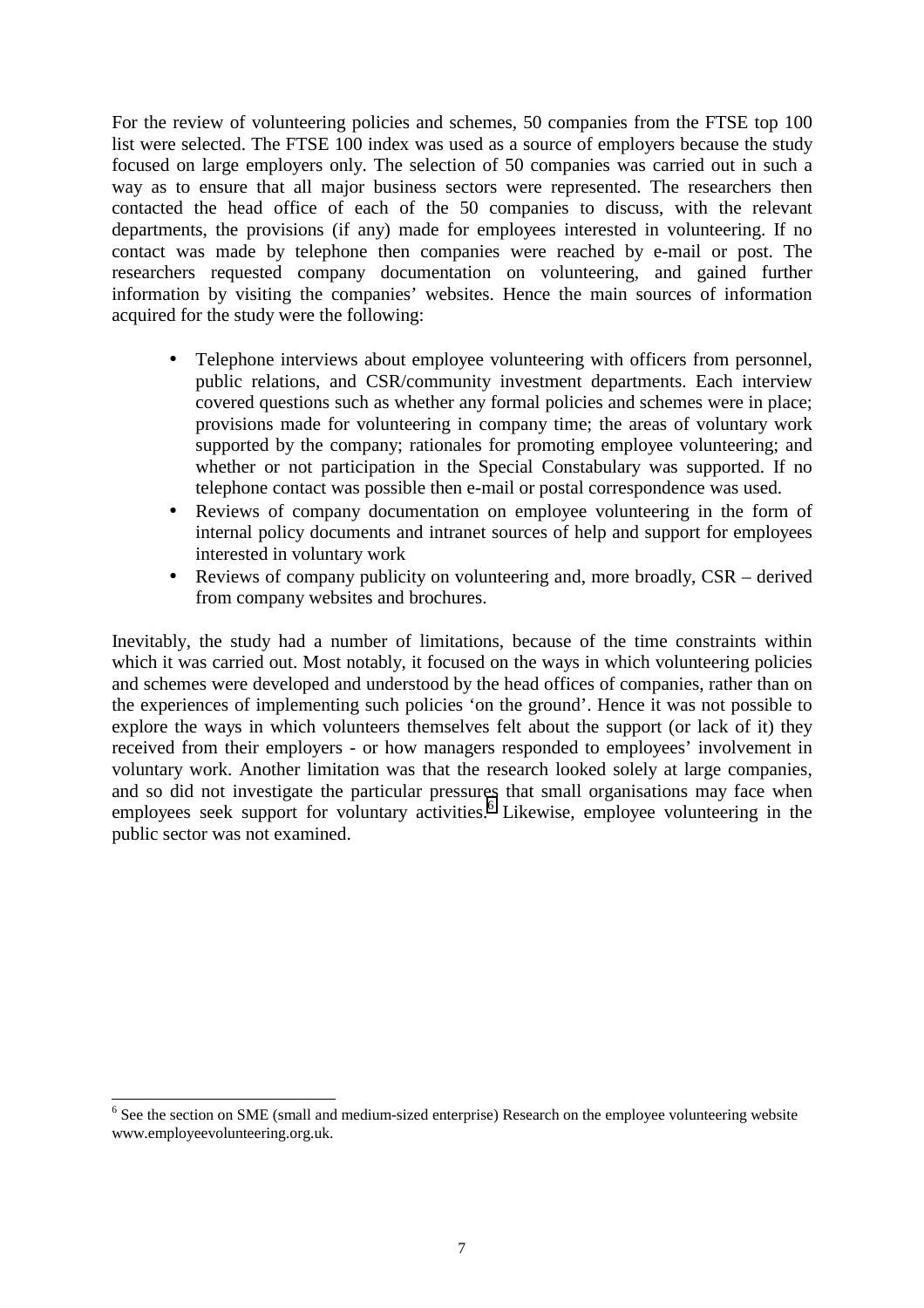For the review of volunteering policies and schemes, 50 companies from the FTSE top 100 list were selected. The FTSE 100 index was used as a source of employers because the study focused on large employers only. The selection of 50 companies was carried out in such a way as to ensure that all major business sectors were represented. The researchers then contacted the head office of each of the 50 companies to discuss, with the relevant departments, the provisions (if any) made for employees interested in volunteering. If no contact was made by telephone then companies were reached by e-mail or post. The researchers requested company documentation on volunteering, and gained further information by visiting the companies' websites. Hence the main sources of information acquired for the study were the following:

- Telephone interviews about employee volunteering with officers from personnel, public relations, and CSR/community investment departments. Each interview covered questions such as whether any formal policies and schemes were in place; provisions made for volunteering in company time; the areas of voluntary work supported by the company; rationales for promoting employee volunteering; and whether or not participation in the Special Constabulary was supported. If no telephone contact was possible then e-mail or postal correspondence was used.
- Reviews of company documentation on employee volunteering in the form of internal policy documents and intranet sources of help and support for employees interested in voluntary work
- Reviews of company publicity on volunteering and, more broadly, CSR derived from company websites and brochures.

Inevitably, the study had a number of limitations, because of the time constraints within which it was carried out. Most notably, it focused on the ways in which volunteering policies and schemes were developed and understood by the head offices of companies, rather than on the experiences of implementing such policies 'on the ground'. Hence it was not possible to explore the ways in which volunteers themselves felt about the support (or lack of it) they received from their employers - or how managers responded to employees' involvement in voluntary work. Another limitation was that the research looked solely at large companies, and so did not investigate the particular pressures that small organisations may face when employees seek support for voluntary activities.<sup>6</sup> Likewise, employee volunteering in the public sector was not examined.

<sup>&</sup>lt;sup>6</sup> See the section on SME (small and medium-sized enterprise) Research on the employee volunteering website www.employeevolunteering.org.uk.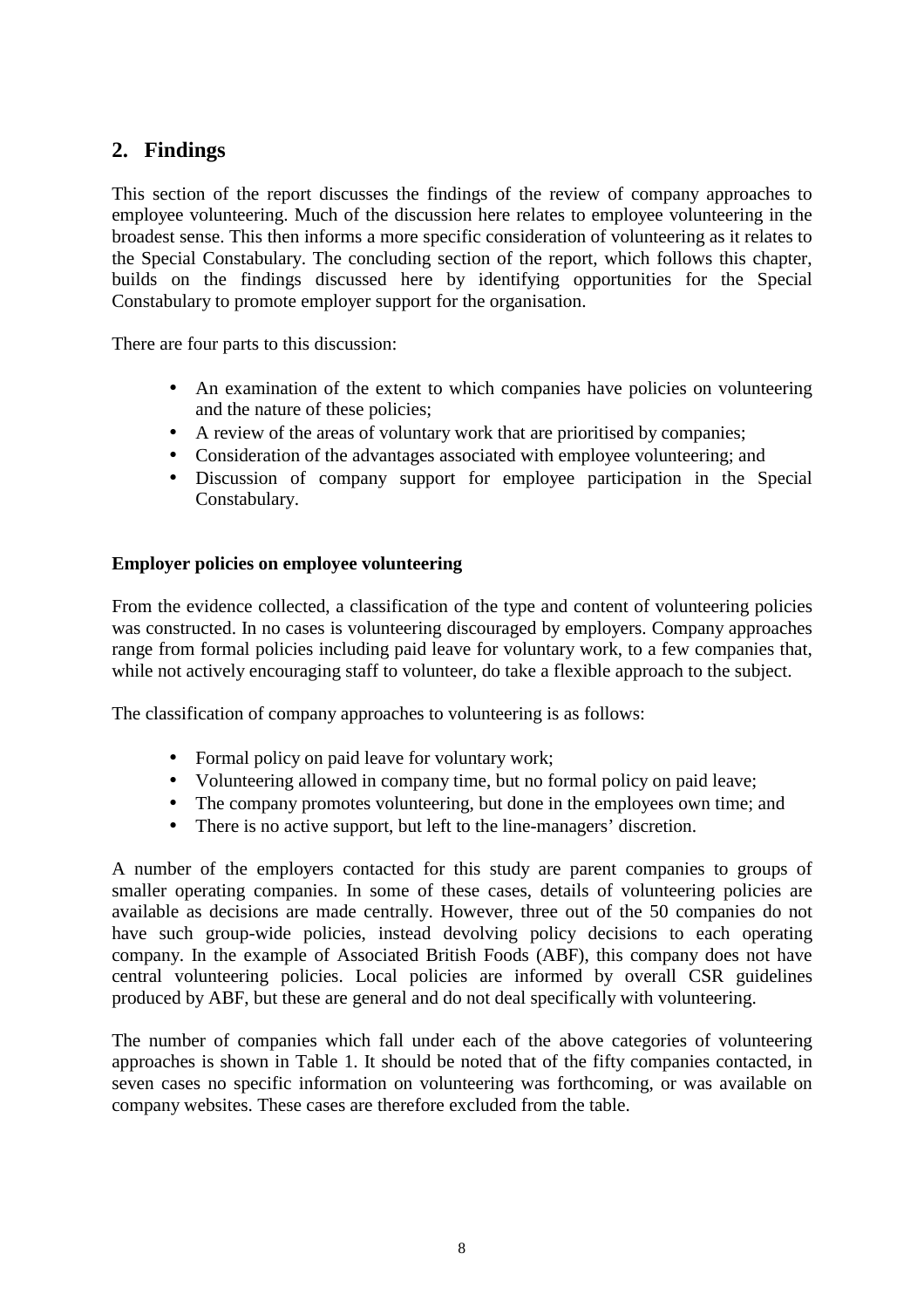#### **2. Findings**

This section of the report discusses the findings of the review of company approaches to employee volunteering. Much of the discussion here relates to employee volunteering in the broadest sense. This then informs a more specific consideration of volunteering as it relates to the Special Constabulary. The concluding section of the report, which follows this chapter, builds on the findings discussed here by identifying opportunities for the Special Constabulary to promote employer support for the organisation.

There are four parts to this discussion:

- An examination of the extent to which companies have policies on volunteering and the nature of these policies;
- A review of the areas of voluntary work that are prioritised by companies;
- Consideration of the advantages associated with employee volunteering: and
- Discussion of company support for employee participation in the Special Constabulary.

#### **Employer policies on employee volunteering**

From the evidence collected, a classification of the type and content of volunteering policies was constructed. In no cases is volunteering discouraged by employers. Company approaches range from formal policies including paid leave for voluntary work, to a few companies that, while not actively encouraging staff to volunteer, do take a flexible approach to the subject.

The classification of company approaches to volunteering is as follows:

- Formal policy on paid leave for voluntary work;
- Volunteering allowed in company time, but no formal policy on paid leave;
- The company promotes volunteering, but done in the employees own time; and
- There is no active support, but left to the line-managers' discretion.

A number of the employers contacted for this study are parent companies to groups of smaller operating companies. In some of these cases, details of volunteering policies are available as decisions are made centrally. However, three out of the 50 companies do not have such group-wide policies, instead devolving policy decisions to each operating company. In the example of Associated British Foods (ABF), this company does not have central volunteering policies. Local policies are informed by overall CSR guidelines produced by ABF, but these are general and do not deal specifically with volunteering.

The number of companies which fall under each of the above categories of volunteering approaches is shown in Table 1. It should be noted that of the fifty companies contacted, in seven cases no specific information on volunteering was forthcoming, or was available on company websites. These cases are therefore excluded from the table.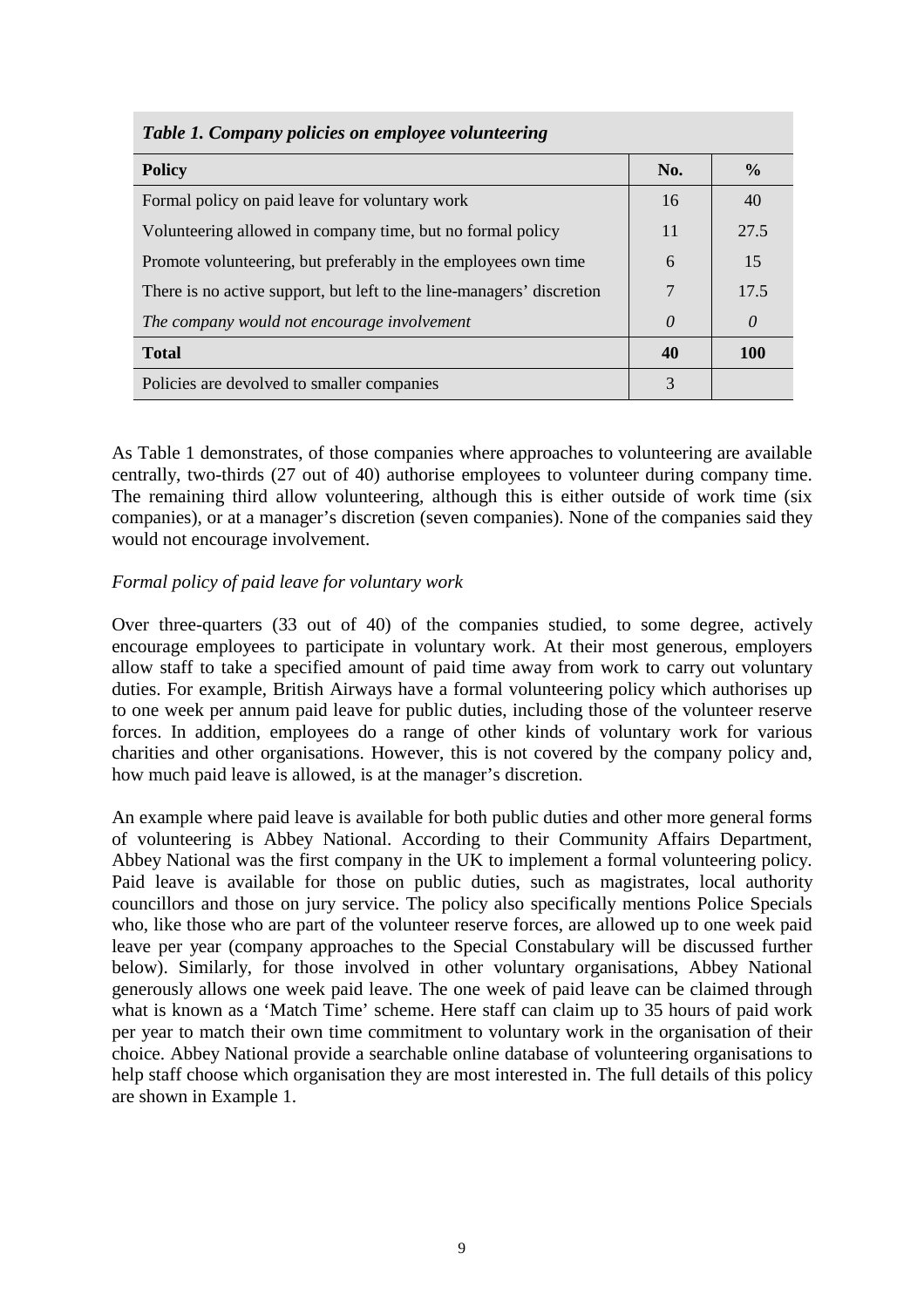| <b>Table 1. Company policies on employee volunteering</b>             |          |               |  |  |  |
|-----------------------------------------------------------------------|----------|---------------|--|--|--|
| <b>Policy</b>                                                         | No.      | $\frac{0}{0}$ |  |  |  |
| Formal policy on paid leave for voluntary work                        | 16       | 40            |  |  |  |
| Volunteering allowed in company time, but no formal policy            | 11       | 27.5          |  |  |  |
| Promote volunteering, but preferably in the employees own time        | 6        | 15            |  |  |  |
| There is no active support, but left to the line-managers' discretion | 7        | 17.5          |  |  |  |
| The company would not encourage involvement                           | $\theta$ | 0             |  |  |  |
| <b>Total</b>                                                          | 40       | <b>100</b>    |  |  |  |
| Policies are devolved to smaller companies                            | 3        |               |  |  |  |

*Table 1. Company policies on employee volunteering* 

As Table 1 demonstrates, of those companies where approaches to volunteering are available centrally, two-thirds (27 out of 40) authorise employees to volunteer during company time. The remaining third allow volunteering, although this is either outside of work time (six companies), or at a manager's discretion (seven companies). None of the companies said they would not encourage involvement.

#### *Formal policy of paid leave for voluntary work*

Over three-quarters (33 out of 40) of the companies studied, to some degree, actively encourage employees to participate in voluntary work. At their most generous, employers allow staff to take a specified amount of paid time away from work to carry out voluntary duties. For example, British Airways have a formal volunteering policy which authorises up to one week per annum paid leave for public duties, including those of the volunteer reserve forces. In addition, employees do a range of other kinds of voluntary work for various charities and other organisations. However, this is not covered by the company policy and, how much paid leave is allowed, is at the manager's discretion.

An example where paid leave is available for both public duties and other more general forms of volunteering is Abbey National. According to their Community Affairs Department, Abbey National was the first company in the UK to implement a formal volunteering policy. Paid leave is available for those on public duties, such as magistrates, local authority councillors and those on jury service. The policy also specifically mentions Police Specials who, like those who are part of the volunteer reserve forces, are allowed up to one week paid leave per year (company approaches to the Special Constabulary will be discussed further below). Similarly, for those involved in other voluntary organisations, Abbey National generously allows one week paid leave. The one week of paid leave can be claimed through what is known as a 'Match Time' scheme. Here staff can claim up to 35 hours of paid work per year to match their own time commitment to voluntary work in the organisation of their choice. Abbey National provide a searchable online database of volunteering organisations to help staff choose which organisation they are most interested in. The full details of this policy are shown in Example 1.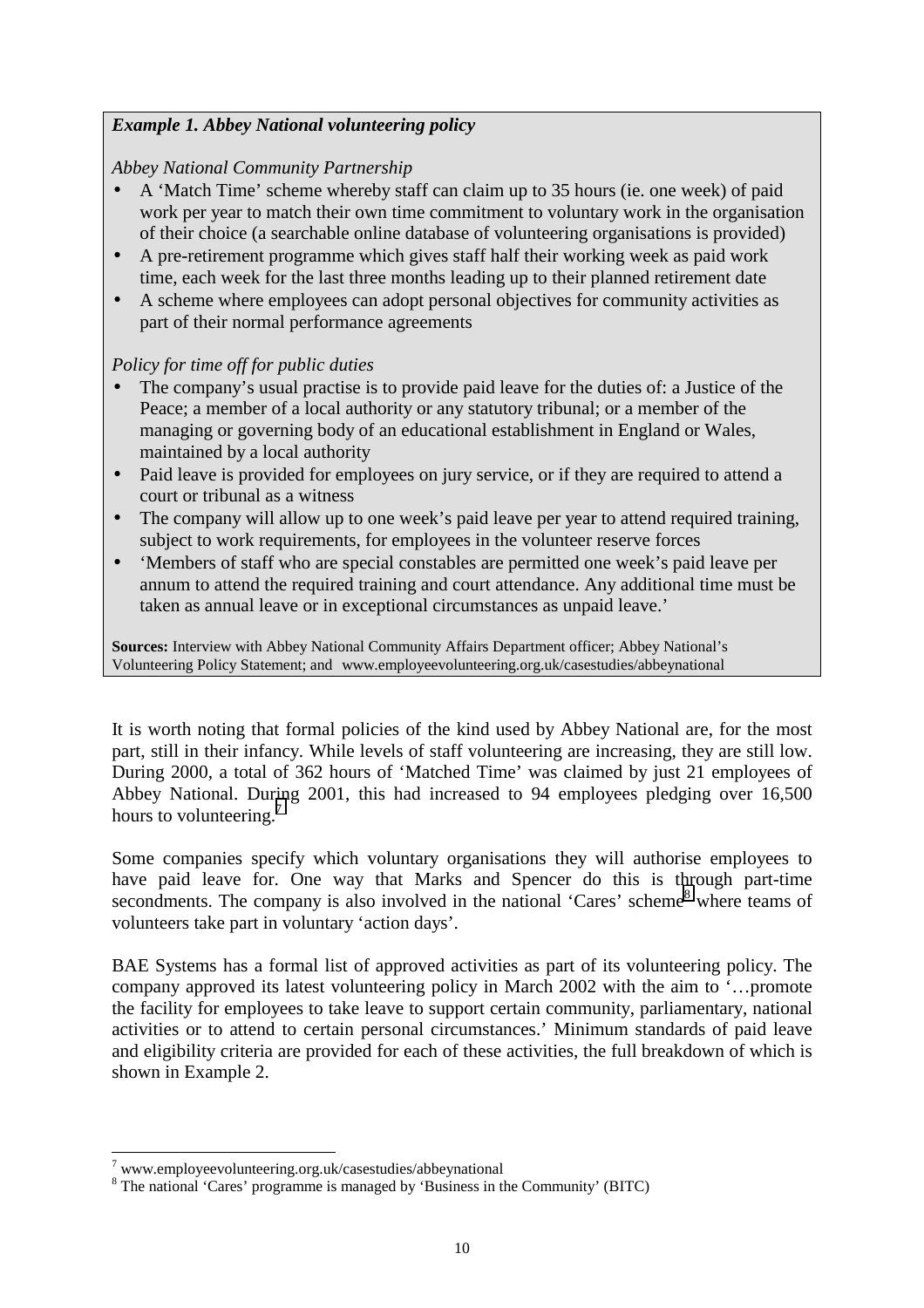#### *Example 1. Abbey National volunteering policy*

#### *Abbey National Community Partnership*

- A 'Match Time' scheme whereby staff can claim up to 35 hours (ie. one week) of paid work per year to match their own time commitment to voluntary work in the organisation of their choice (a searchable online database of volunteering organisations is provided)
- A pre-retirement programme which gives staff half their working week as paid work time, each week for the last three months leading up to their planned retirement date
- A scheme where employees can adopt personal objectives for community activities as part of their normal performance agreements

#### *Policy for time off for public duties*

- The company's usual practise is to provide paid leave for the duties of: a Justice of the Peace; a member of a local authority or any statutory tribunal; or a member of the managing or governing body of an educational establishment in England or Wales, maintained by a local authority
- Paid leave is provided for employees on jury service, or if they are required to attend a court or tribunal as a witness
- The company will allow up to one week's paid leave per year to attend required training, subject to work requirements, for employees in the volunteer reserve forces
- 'Members of staff who are special constables are permitted one week's paid leave per annum to attend the required training and court attendance. Any additional time must be taken as annual leave or in exceptional circumstances as unpaid leave.'

**Sources:** Interview with Abbey National Community Affairs Department officer; Abbey National's Volunteering Policy Statement; and www.employeevolunteering.org.uk/casestudies/abbeynational

It is worth noting that formal policies of the kind used by Abbey National are, for the most part, still in their infancy. While levels of staff volunteering are increasing, they are still low. During 2000, a total of 362 hours of 'Matched Time' was claimed by just 21 employees of Abbey National. During 2001, this had increased to 94 employees pledging over 16,500 hours to volunteering.<sup>7</sup>

Some companies specify which voluntary organisations they will authorise employees to have paid leave for. One way that Marks and Spencer do this is through part-time secondments. The company is also involved in the national 'Cares' scheme<sup>8</sup> where teams of volunteers take part in voluntary 'action days'.

BAE Systems has a formal list of approved activities as part of its volunteering policy. The company approved its latest volunteering policy in March 2002 with the aim to '…promote the facility for employees to take leave to support certain community, parliamentary, national activities or to attend to certain personal circumstances.' Minimum standards of paid leave and eligibility criteria are provided for each of these activities, the full breakdown of which is shown in Example 2.

<sup>&</sup>lt;sup>7</sup> www.employeevolunteering.org.uk/casestudies/abbeynational

<sup>&</sup>lt;sup>8</sup> The national 'Cares' programme is managed by 'Business in the Community' (BITC)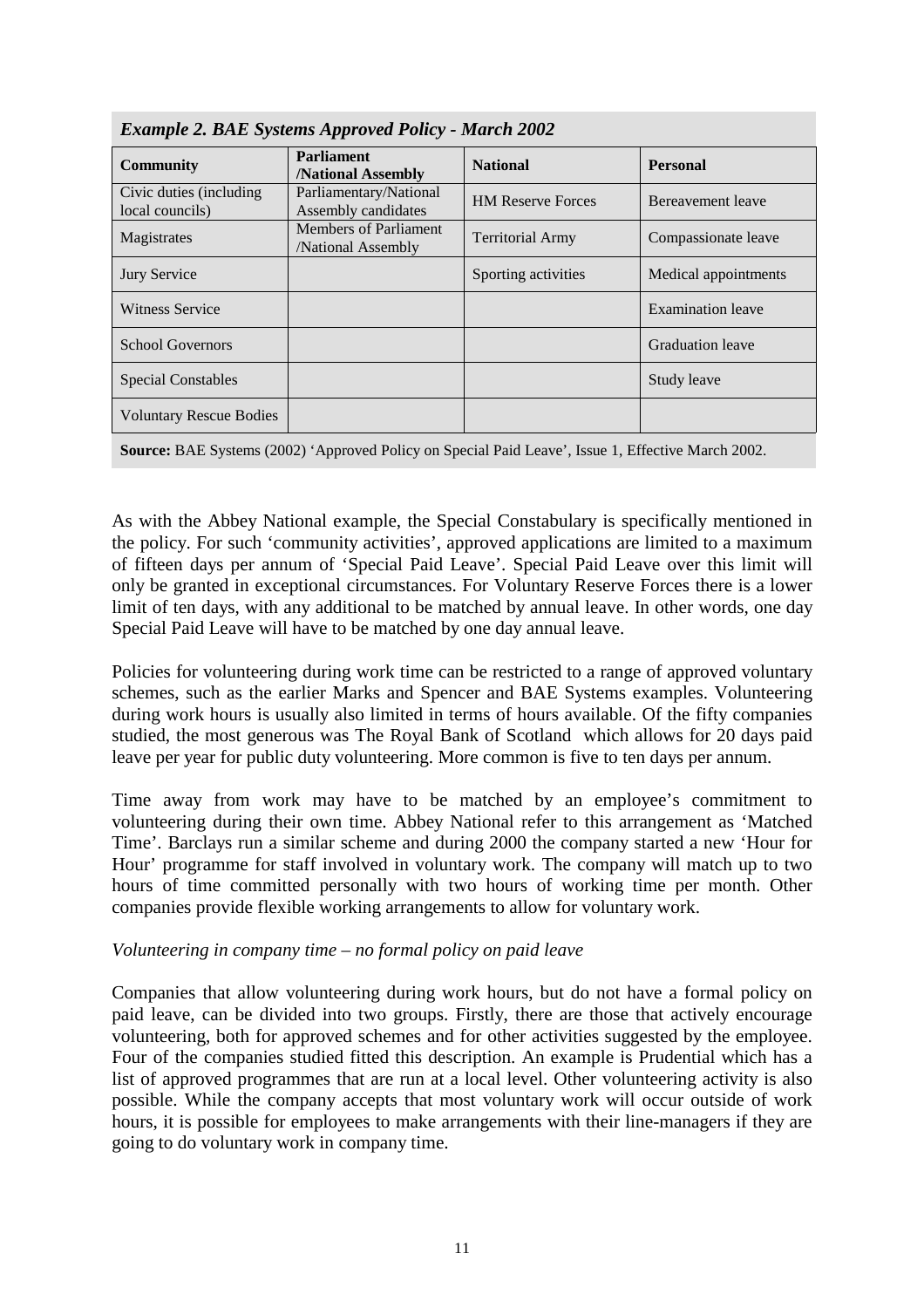| <b>Example 2. BAE Systems Approved Policy - March 2002</b> |                                                   |                          |                          |  |  |
|------------------------------------------------------------|---------------------------------------------------|--------------------------|--------------------------|--|--|
| <b>Community</b>                                           | <b>Parliament</b><br><b>National Assembly</b>     | <b>National</b>          | <b>Personal</b>          |  |  |
| Civic duties (including<br>local councils)                 | Parliamentary/National<br>Assembly candidates     | <b>HM Reserve Forces</b> | Bereavement leave        |  |  |
| Magistrates                                                | Members of Parliament<br><b>National Assembly</b> | <b>Territorial Army</b>  | Compassionate leave      |  |  |
| <b>Jury Service</b>                                        |                                                   | Sporting activities      | Medical appointments     |  |  |
| Witness Service                                            |                                                   |                          | <b>Examination</b> leave |  |  |
| <b>School Governors</b>                                    |                                                   |                          | Graduation leave         |  |  |
| <b>Special Constables</b>                                  |                                                   |                          | Study leave              |  |  |
| <b>Voluntary Rescue Bodies</b>                             |                                                   |                          |                          |  |  |



**Source:** BAE Systems (2002) 'Approved Policy on Special Paid Leave', Issue 1, Effective March 2002.

As with the Abbey National example, the Special Constabulary is specifically mentioned in the policy. For such 'community activities', approved applications are limited to a maximum of fifteen days per annum of 'Special Paid Leave'. Special Paid Leave over this limit will only be granted in exceptional circumstances. For Voluntary Reserve Forces there is a lower limit of ten days, with any additional to be matched by annual leave. In other words, one day Special Paid Leave will have to be matched by one day annual leave.

Policies for volunteering during work time can be restricted to a range of approved voluntary schemes, such as the earlier Marks and Spencer and BAE Systems examples. Volunteering during work hours is usually also limited in terms of hours available. Of the fifty companies studied, the most generous was The Royal Bank of Scotland which allows for 20 days paid leave per year for public duty volunteering. More common is five to ten days per annum.

Time away from work may have to be matched by an employee's commitment to volunteering during their own time. Abbey National refer to this arrangement as 'Matched Time'. Barclays run a similar scheme and during 2000 the company started a new 'Hour for Hour' programme for staff involved in voluntary work. The company will match up to two hours of time committed personally with two hours of working time per month. Other companies provide flexible working arrangements to allow for voluntary work.

#### *Volunteering in company time – no formal policy on paid leave*

Companies that allow volunteering during work hours, but do not have a formal policy on paid leave, can be divided into two groups. Firstly, there are those that actively encourage volunteering, both for approved schemes and for other activities suggested by the employee. Four of the companies studied fitted this description. An example is Prudential which has a list of approved programmes that are run at a local level. Other volunteering activity is also possible. While the company accepts that most voluntary work will occur outside of work hours, it is possible for employees to make arrangements with their line-managers if they are going to do voluntary work in company time.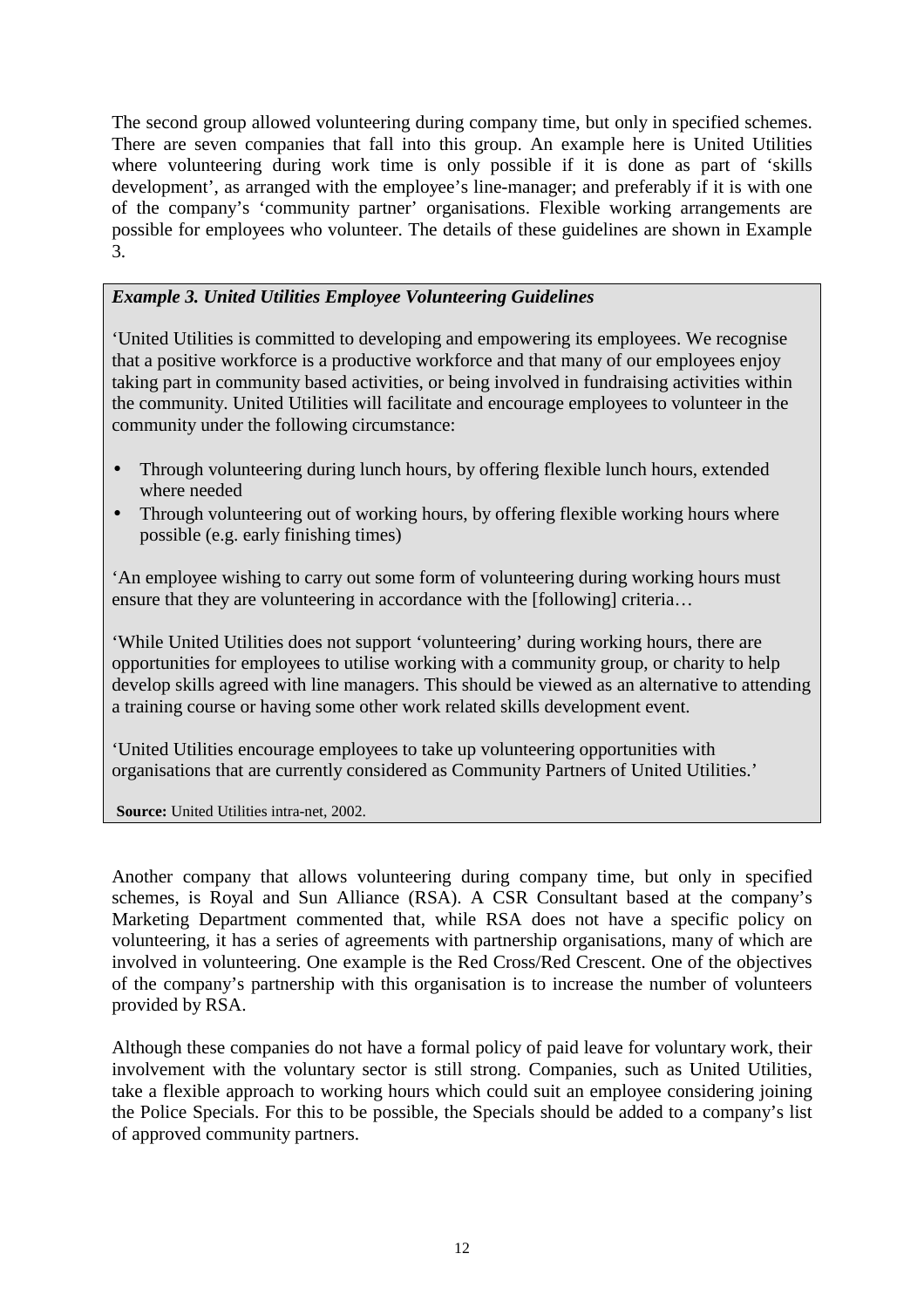The second group allowed volunteering during company time, but only in specified schemes. There are seven companies that fall into this group. An example here is United Utilities where volunteering during work time is only possible if it is done as part of 'skills development', as arranged with the employee's line-manager; and preferably if it is with one of the company's 'community partner' organisations. Flexible working arrangements are possible for employees who volunteer. The details of these guidelines are shown in Example 3.

#### *Example 3. United Utilities Employee Volunteering Guidelines*

'United Utilities is committed to developing and empowering its employees. We recognise that a positive workforce is a productive workforce and that many of our employees enjoy taking part in community based activities, or being involved in fundraising activities within the community. United Utilities will facilitate and encourage employees to volunteer in the community under the following circumstance:

- Through volunteering during lunch hours, by offering flexible lunch hours, extended where needed
- Through volunteering out of working hours, by offering flexible working hours where possible (e.g. early finishing times)

'An employee wishing to carry out some form of volunteering during working hours must ensure that they are volunteering in accordance with the [following] criteria…

'While United Utilities does not support 'volunteering' during working hours, there are opportunities for employees to utilise working with a community group, or charity to help develop skills agreed with line managers. This should be viewed as an alternative to attending a training course or having some other work related skills development event.

'United Utilities encourage employees to take up volunteering opportunities with organisations that are currently considered as Community Partners of United Utilities.'

**Source:** United Utilities intra-net, 2002.

Another company that allows volunteering during company time, but only in specified schemes, is Royal and Sun Alliance (RSA). A CSR Consultant based at the company's Marketing Department commented that, while RSA does not have a specific policy on volunteering, it has a series of agreements with partnership organisations, many of which are involved in volunteering. One example is the Red Cross/Red Crescent. One of the objectives of the company's partnership with this organisation is to increase the number of volunteers provided by RSA.

Although these companies do not have a formal policy of paid leave for voluntary work, their involvement with the voluntary sector is still strong. Companies, such as United Utilities, take a flexible approach to working hours which could suit an employee considering joining the Police Specials. For this to be possible, the Specials should be added to a company's list of approved community partners.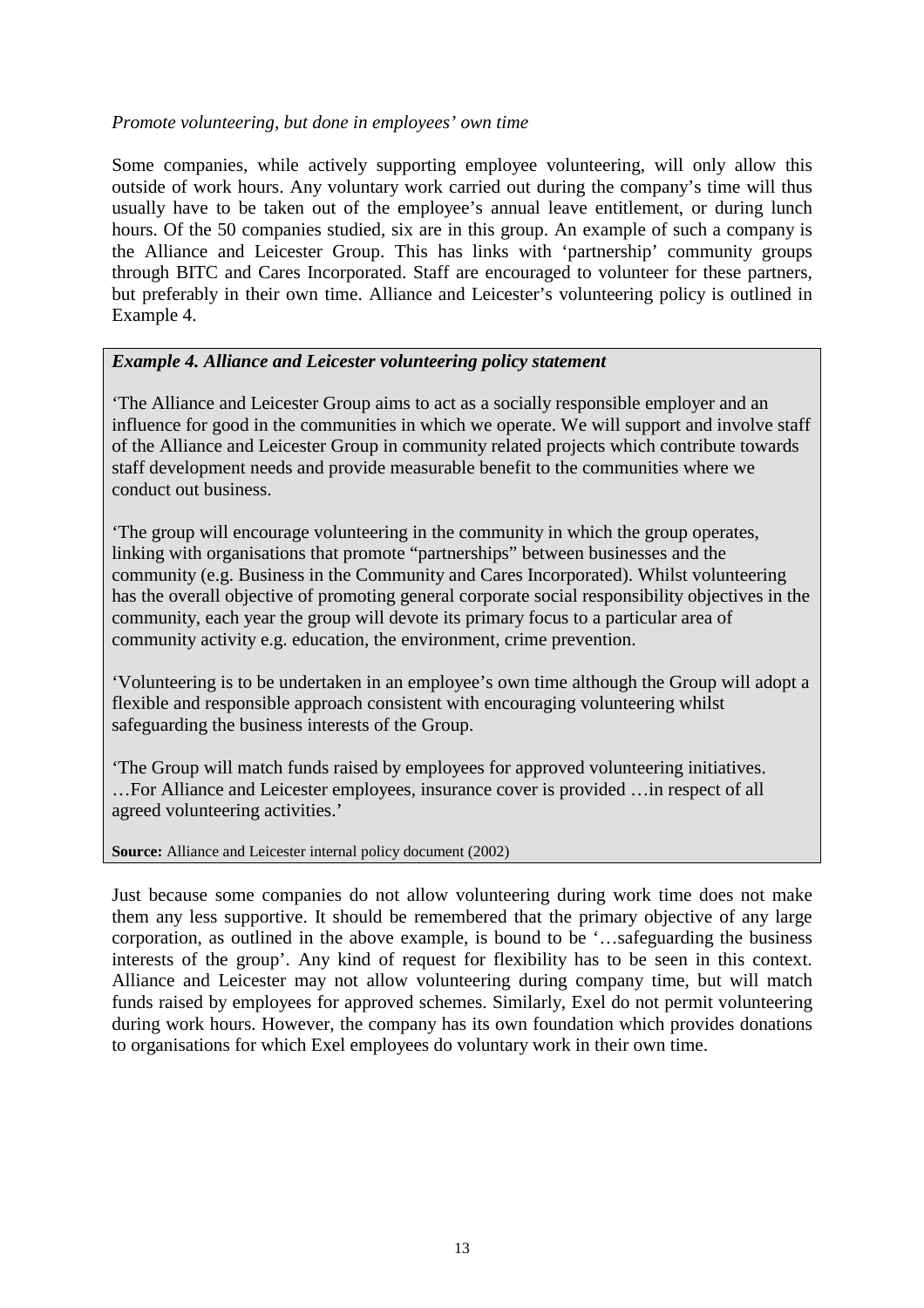#### *Promote volunteering, but done in employees' own time*

Some companies, while actively supporting employee volunteering, will only allow this outside of work hours. Any voluntary work carried out during the company's time will thus usually have to be taken out of the employee's annual leave entitlement, or during lunch hours. Of the 50 companies studied, six are in this group. An example of such a company is the Alliance and Leicester Group. This has links with 'partnership' community groups through BITC and Cares Incorporated. Staff are encouraged to volunteer for these partners, but preferably in their own time. Alliance and Leicester's volunteering policy is outlined in Example 4.

#### *Example 4. Alliance and Leicester volunteering policy statement*

'The Alliance and Leicester Group aims to act as a socially responsible employer and an influence for good in the communities in which we operate. We will support and involve staff of the Alliance and Leicester Group in community related projects which contribute towards staff development needs and provide measurable benefit to the communities where we conduct out business.

'The group will encourage volunteering in the community in which the group operates, linking with organisations that promote "partnerships" between businesses and the community (e.g. Business in the Community and Cares Incorporated). Whilst volunteering has the overall objective of promoting general corporate social responsibility objectives in the community, each year the group will devote its primary focus to a particular area of community activity e.g. education, the environment, crime prevention.

'Volunteering is to be undertaken in an employee's own time although the Group will adopt a flexible and responsible approach consistent with encouraging volunteering whilst safeguarding the business interests of the Group.

'The Group will match funds raised by employees for approved volunteering initiatives. …For Alliance and Leicester employees, insurance cover is provided …in respect of all agreed volunteering activities.'

#### **Source:** Alliance and Leicester internal policy document (2002)

Just because some companies do not allow volunteering during work time does not make them any less supportive. It should be remembered that the primary objective of any large corporation, as outlined in the above example, is bound to be '…safeguarding the business interests of the group'. Any kind of request for flexibility has to be seen in this context. Alliance and Leicester may not allow volunteering during company time, but will match funds raised by employees for approved schemes. Similarly, Exel do not permit volunteering during work hours. However, the company has its own foundation which provides donations to organisations for which Exel employees do voluntary work in their own time.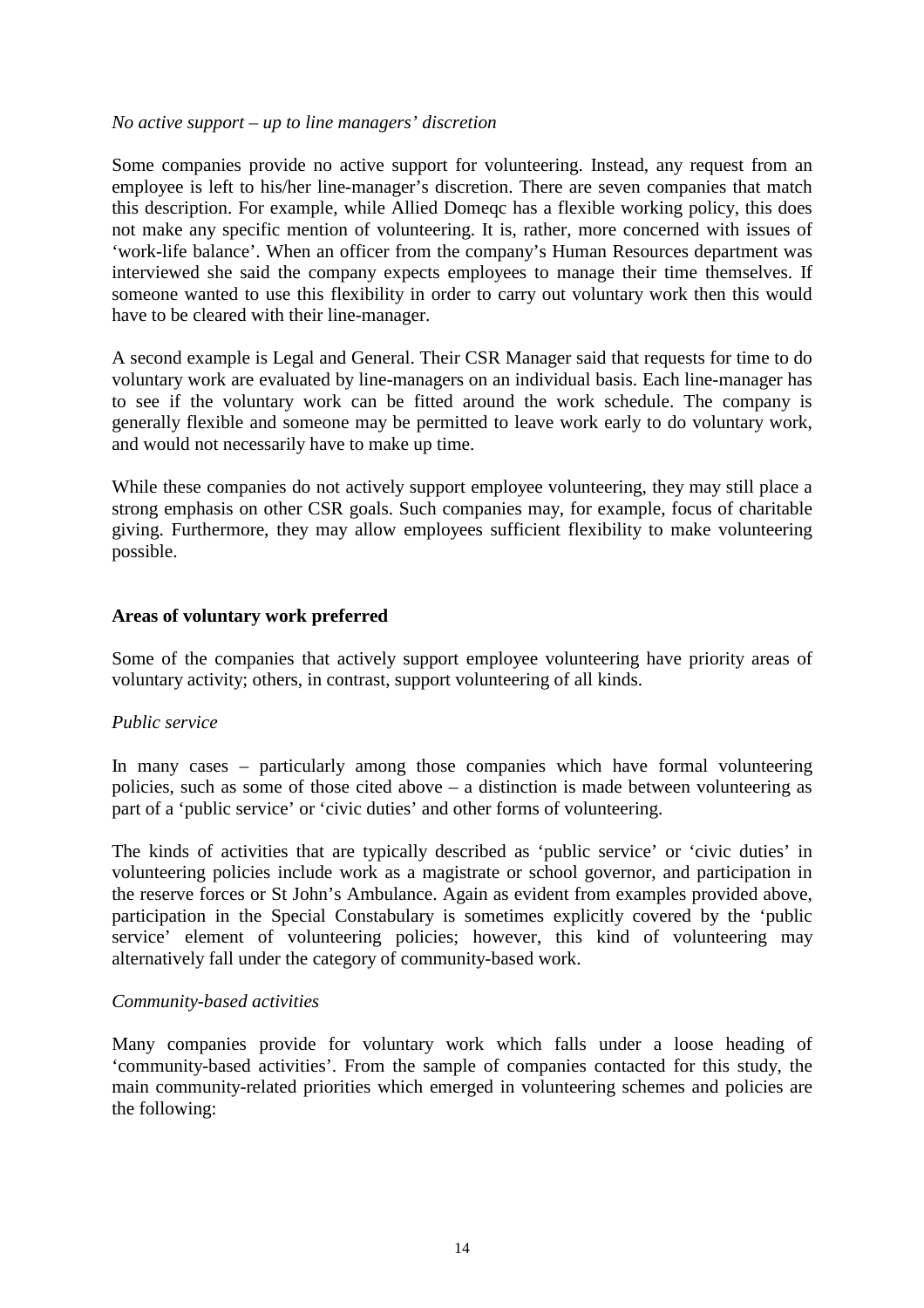#### *No active support – up to line managers' discretion*

Some companies provide no active support for volunteering. Instead, any request from an employee is left to his/her line-manager's discretion. There are seven companies that match this description. For example, while Allied Domeqc has a flexible working policy, this does not make any specific mention of volunteering. It is, rather, more concerned with issues of 'work-life balance'. When an officer from the company's Human Resources department was interviewed she said the company expects employees to manage their time themselves. If someone wanted to use this flexibility in order to carry out voluntary work then this would have to be cleared with their line-manager.

A second example is Legal and General. Their CSR Manager said that requests for time to do voluntary work are evaluated by line-managers on an individual basis. Each line-manager has to see if the voluntary work can be fitted around the work schedule. The company is generally flexible and someone may be permitted to leave work early to do voluntary work, and would not necessarily have to make up time.

While these companies do not actively support employee volunteering, they may still place a strong emphasis on other CSR goals. Such companies may, for example, focus of charitable giving. Furthermore, they may allow employees sufficient flexibility to make volunteering possible.

#### **Areas of voluntary work preferred**

Some of the companies that actively support employee volunteering have priority areas of voluntary activity; others, in contrast, support volunteering of all kinds.

#### *Public service*

In many cases – particularly among those companies which have formal volunteering policies, such as some of those cited above – a distinction is made between volunteering as part of a 'public service' or 'civic duties' and other forms of volunteering.

The kinds of activities that are typically described as 'public service' or 'civic duties' in volunteering policies include work as a magistrate or school governor, and participation in the reserve forces or St John's Ambulance. Again as evident from examples provided above, participation in the Special Constabulary is sometimes explicitly covered by the 'public service' element of volunteering policies; however, this kind of volunteering may alternatively fall under the category of community-based work.

#### *Community-based activities*

Many companies provide for voluntary work which falls under a loose heading of 'community-based activities'. From the sample of companies contacted for this study, the main community-related priorities which emerged in volunteering schemes and policies are the following: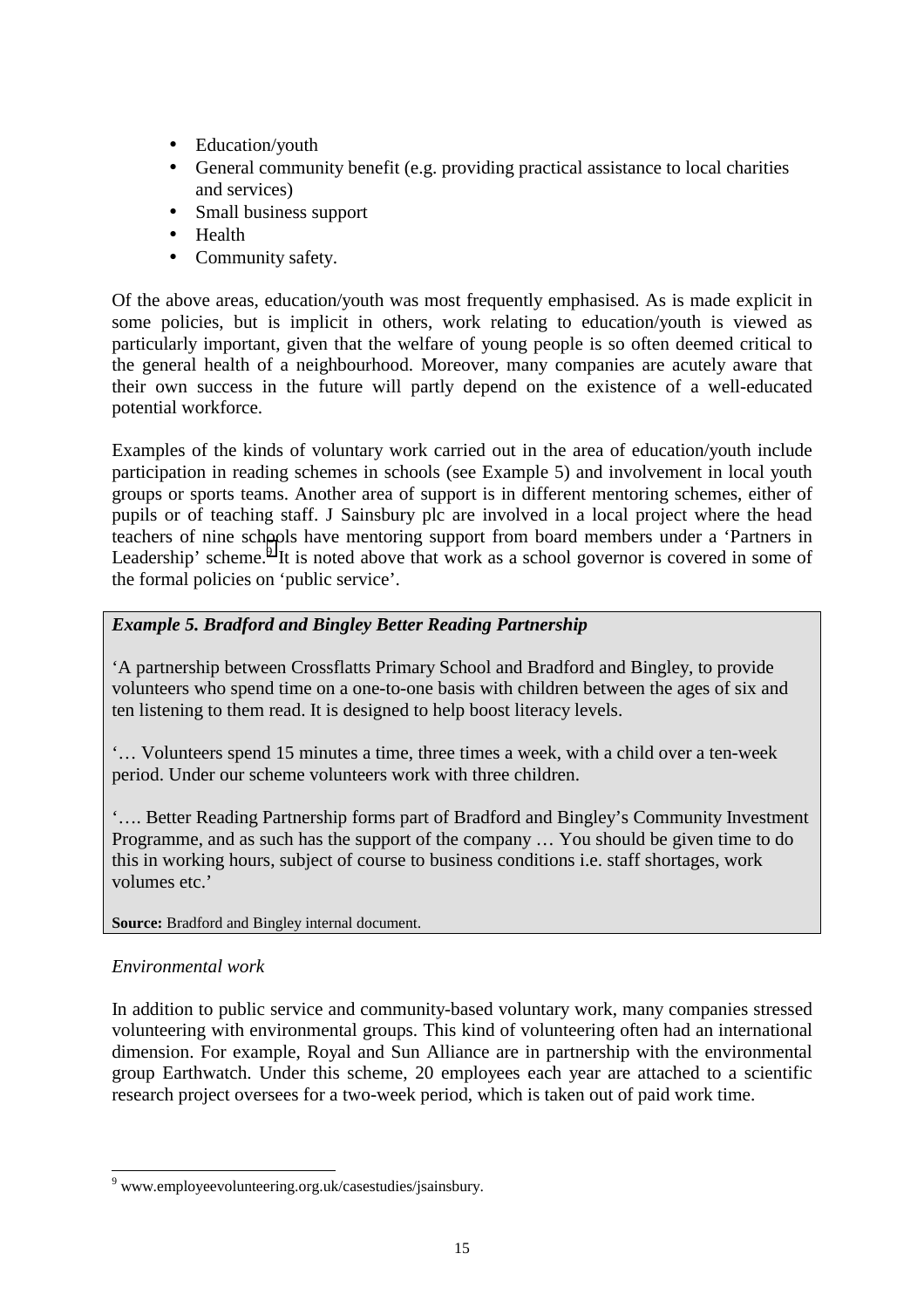- Education/youth
- General community benefit (e.g. providing practical assistance to local charities and services)
- Small business support
- Health
- Community safety.

Of the above areas, education/youth was most frequently emphasised. As is made explicit in some policies, but is implicit in others, work relating to education/youth is viewed as particularly important, given that the welfare of young people is so often deemed critical to the general health of a neighbourhood. Moreover, many companies are acutely aware that their own success in the future will partly depend on the existence of a well-educated potential workforce.

Examples of the kinds of voluntary work carried out in the area of education/youth include participation in reading schemes in schools (see Example 5) and involvement in local youth groups or sports teams. Another area of support is in different mentoring schemes, either of pupils or of teaching staff. J Sainsbury plc are involved in a local project where the head teachers of nine schools have mentoring support from board members under a 'Partners in Leadership' scheme. $9$  It is noted above that work as a school governor is covered in some of the formal policies on 'public service'.

#### *Example 5. Bradford and Bingley Better Reading Partnership*

'A partnership between Crossflatts Primary School and Bradford and Bingley, to provide volunteers who spend time on a one-to-one basis with children between the ages of six and ten listening to them read. It is designed to help boost literacy levels.

'… Volunteers spend 15 minutes a time, three times a week, with a child over a ten-week period. Under our scheme volunteers work with three children.

'…. Better Reading Partnership forms part of Bradford and Bingley's Community Investment Programme, and as such has the support of the company … You should be given time to do this in working hours, subject of course to business conditions i.e. staff shortages, work volumes etc.'

#### **Source:** Bradford and Bingley internal document.

#### *Environmental work*

In addition to public service and community-based voluntary work, many companies stressed volunteering with environmental groups. This kind of volunteering often had an international dimension. For example, Royal and Sun Alliance are in partnership with the environmental group Earthwatch. Under this scheme, 20 employees each year are attached to a scientific research project oversees for a two-week period, which is taken out of paid work time.

 9 www.employeevolunteering.org.uk/casestudies/jsainsbury.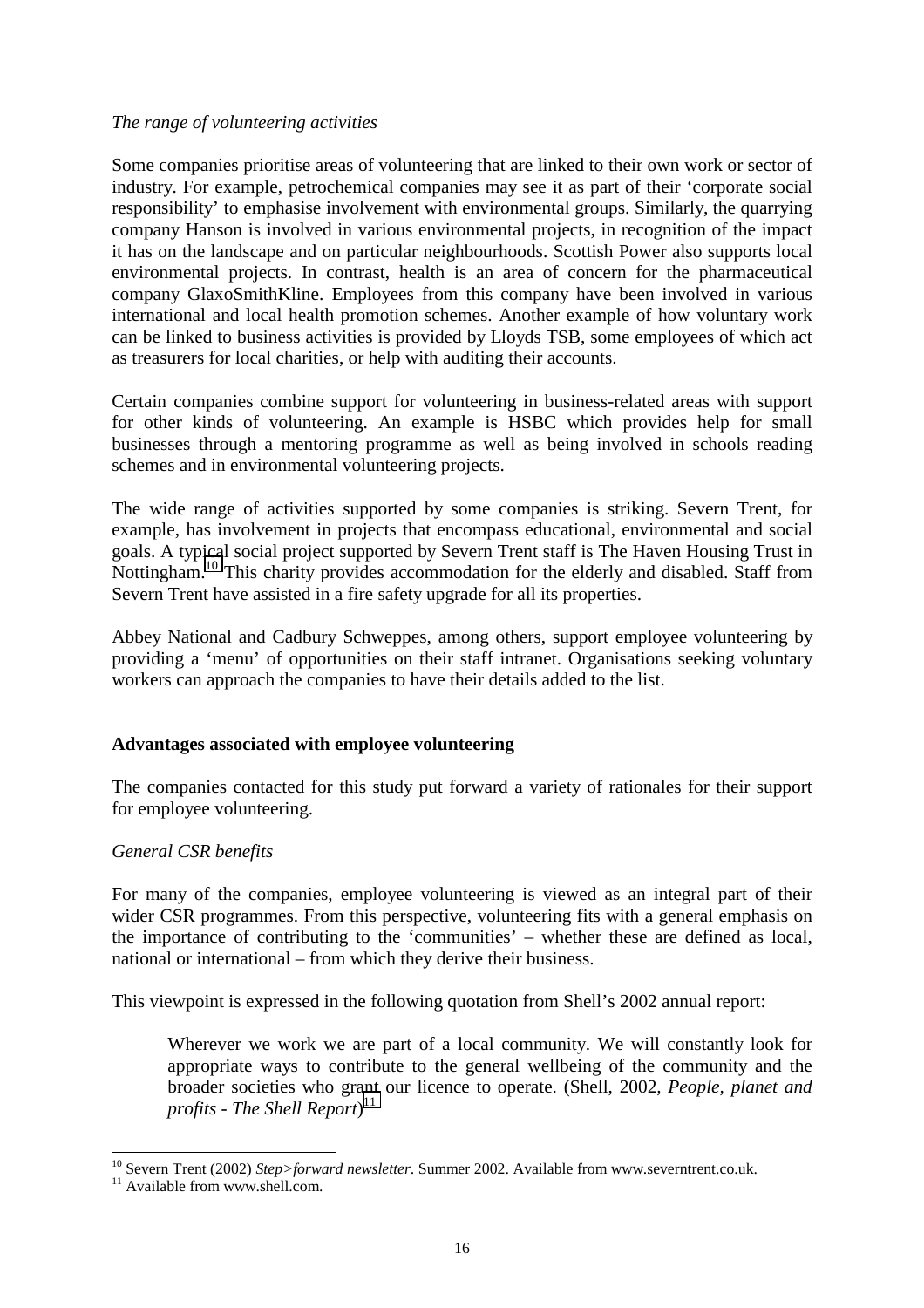#### *The range of volunteering activities*

Some companies prioritise areas of volunteering that are linked to their own work or sector of industry. For example, petrochemical companies may see it as part of their 'corporate social responsibility' to emphasise involvement with environmental groups. Similarly, the quarrying company Hanson is involved in various environmental projects, in recognition of the impact it has on the landscape and on particular neighbourhoods. Scottish Power also supports local environmental projects. In contrast, health is an area of concern for the pharmaceutical company GlaxoSmithKline. Employees from this company have been involved in various international and local health promotion schemes. Another example of how voluntary work can be linked to business activities is provided by Lloyds TSB, some employees of which act as treasurers for local charities, or help with auditing their accounts.

Certain companies combine support for volunteering in business-related areas with support for other kinds of volunteering. An example is HSBC which provides help for small businesses through a mentoring programme as well as being involved in schools reading schemes and in environmental volunteering projects.

The wide range of activities supported by some companies is striking. Severn Trent, for example, has involvement in projects that encompass educational, environmental and social goals. A typical social project supported by Severn Trent staff is The Haven Housing Trust in Nottingham.<sup>10</sup> This charity provides accommodation for the elderly and disabled. Staff from Severn Trent have assisted in a fire safety upgrade for all its properties.

Abbey National and Cadbury Schweppes, among others, support employee volunteering by providing a 'menu' of opportunities on their staff intranet. Organisations seeking voluntary workers can approach the companies to have their details added to the list.

#### **Advantages associated with employee volunteering**

The companies contacted for this study put forward a variety of rationales for their support for employee volunteering.

#### *General CSR benefits*

For many of the companies, employee volunteering is viewed as an integral part of their wider CSR programmes. From this perspective, volunteering fits with a general emphasis on the importance of contributing to the 'communities' – whether these are defined as local, national or international – from which they derive their business.

This viewpoint is expressed in the following quotation from Shell's 2002 annual report:

Wherever we work we are part of a local community. We will constantly look for appropriate ways to contribute to the general wellbeing of the community and the broader societies who grant our licence to operate. (Shell, 2002*, People, planet and profits - The Shell Report*) 11

<sup>&</sup>lt;sup>10</sup> Severn Trent (2002) *Step>forward newsletter*. Summer 2002. Available from www.severntrent.co.uk. <sup>11</sup> Available from www.shell.com.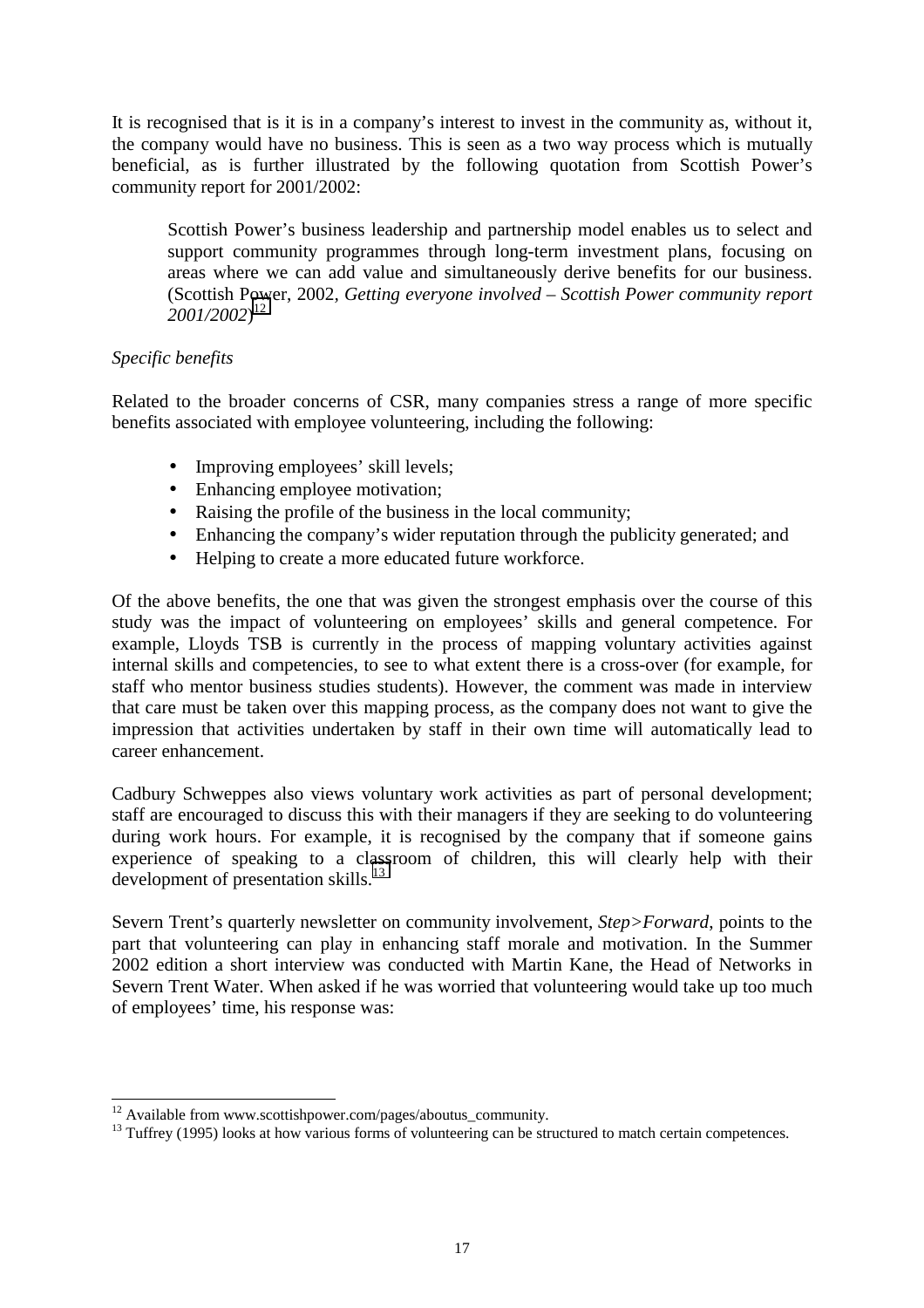It is recognised that is it is in a company's interest to invest in the community as, without it, the company would have no business. This is seen as a two way process which is mutually beneficial, as is further illustrated by the following quotation from Scottish Power's community report for 2001/2002:

Scottish Power's business leadership and partnership model enables us to select and support community programmes through long-term investment plans, focusing on areas where we can add value and simultaneously derive benefits for our business. (Scottish Power, 2002*, Getting everyone involved – Scottish Power community report 2001/2002*) 12

#### *Specific benefits*

Related to the broader concerns of CSR, many companies stress a range of more specific benefits associated with employee volunteering, including the following:

- Improving employees' skill levels;
- Enhancing employee motivation;
- Raising the profile of the business in the local community;
- Enhancing the company's wider reputation through the publicity generated; and
- Helping to create a more educated future workforce.

Of the above benefits, the one that was given the strongest emphasis over the course of this study was the impact of volunteering on employees' skills and general competence. For example, Lloyds TSB is currently in the process of mapping voluntary activities against internal skills and competencies, to see to what extent there is a cross-over (for example, for staff who mentor business studies students). However, the comment was made in interview that care must be taken over this mapping process, as the company does not want to give the impression that activities undertaken by staff in their own time will automatically lead to career enhancement.

Cadbury Schweppes also views voluntary work activities as part of personal development; staff are encouraged to discuss this with their managers if they are seeking to do volunteering during work hours. For example, it is recognised by the company that if someone gains experience of speaking to a classroom of children, this will clearly help with their development of presentation skills. $^{13}$ 

Severn Trent's quarterly newsletter on community involvement, *Step>Forward*, points to the part that volunteering can play in enhancing staff morale and motivation. In the Summer 2002 edition a short interview was conducted with Martin Kane, the Head of Networks in Severn Trent Water. When asked if he was worried that volunteering would take up too much of employees' time, his response was:

 $12$  Available from www.scottishpower.com/pages/aboutus\_community.

 $\frac{13}{13}$  Tuffrey (1995) looks at how various forms of volunteering can be structured to match certain competences.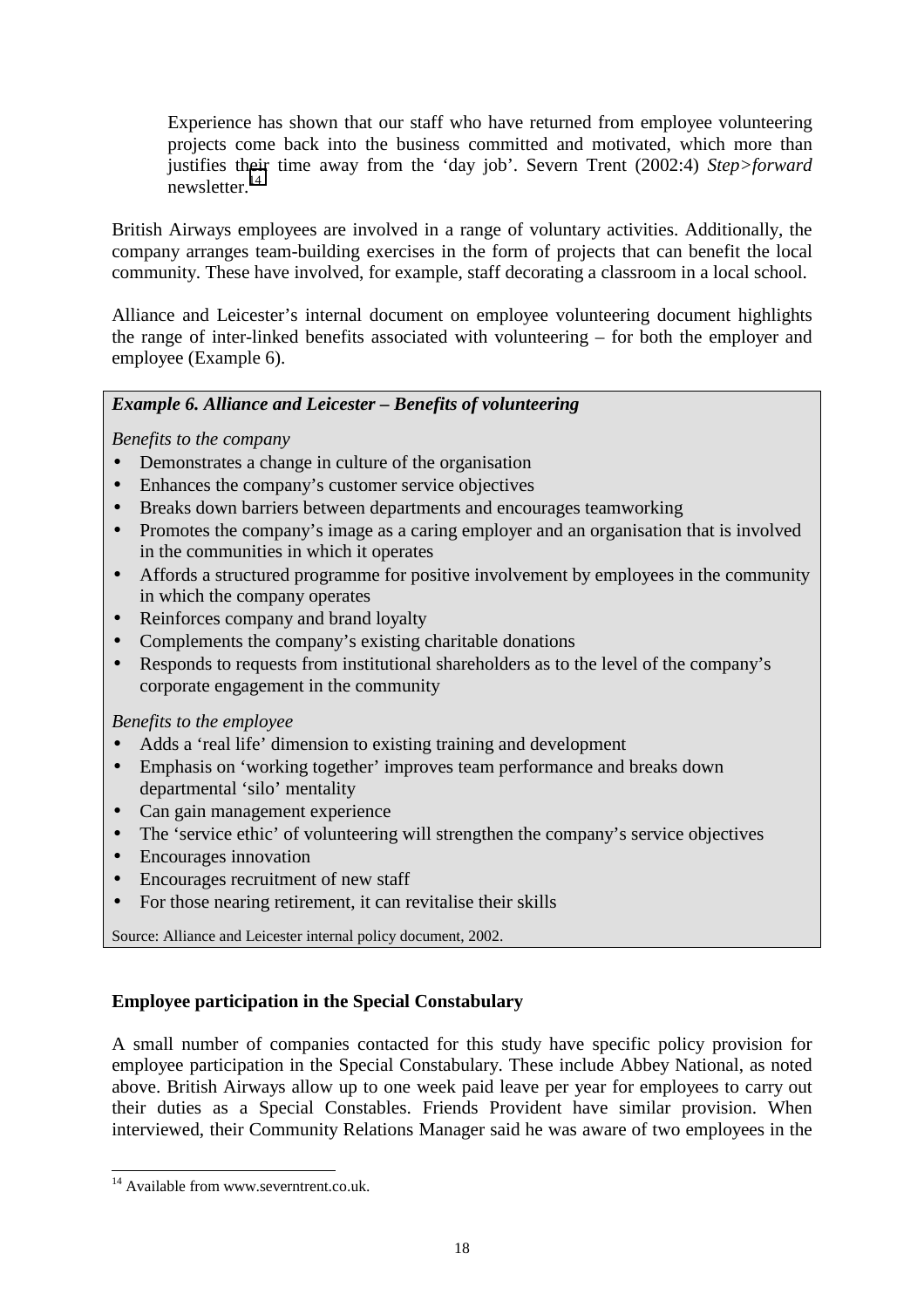Experience has shown that our staff who have returned from employee volunteering projects come back into the business committed and motivated, which more than justifies their time away from the 'day job'. Severn Trent (2002:4) *Step>forward*  $news$ letter.<sup>14</sup>

British Airways employees are involved in a range of voluntary activities. Additionally, the company arranges team-building exercises in the form of projects that can benefit the local community. These have involved, for example, staff decorating a classroom in a local school.

Alliance and Leicester's internal document on employee volunteering document highlights the range of inter-linked benefits associated with volunteering – for both the employer and employee (Example 6).

#### *Example 6. Alliance and Leicester – Benefits of volunteering*

*Benefits to the company* 

- Demonstrates a change in culture of the organisation
- Enhances the company's customer service objectives
- Breaks down barriers between departments and encourages teamworking
- Promotes the company's image as a caring employer and an organisation that is involved in the communities in which it operates
- Affords a structured programme for positive involvement by employees in the community in which the company operates
- Reinforces company and brand loyalty
- Complements the company's existing charitable donations
- Responds to requests from institutional shareholders as to the level of the company's corporate engagement in the community

#### *Benefits to the employee*

- Adds a 'real life' dimension to existing training and development
- Emphasis on 'working together' improves team performance and breaks down departmental 'silo' mentality
- Can gain management experience
- The 'service ethic' of volunteering will strengthen the company's service objectives
- Encourages innovation
- Encourages recruitment of new staff
- For those nearing retirement, it can revitalise their skills

Source: Alliance and Leicester internal policy document, 2002.

#### **Employee participation in the Special Constabulary**

A small number of companies contacted for this study have specific policy provision for employee participation in the Special Constabulary. These include Abbey National, as noted above. British Airways allow up to one week paid leave per year for employees to carry out their duties as a Special Constables. Friends Provident have similar provision. When interviewed, their Community Relations Manager said he was aware of two employees in the

<sup>&</sup>lt;sup>14</sup> Available from www.severntrent.co.uk.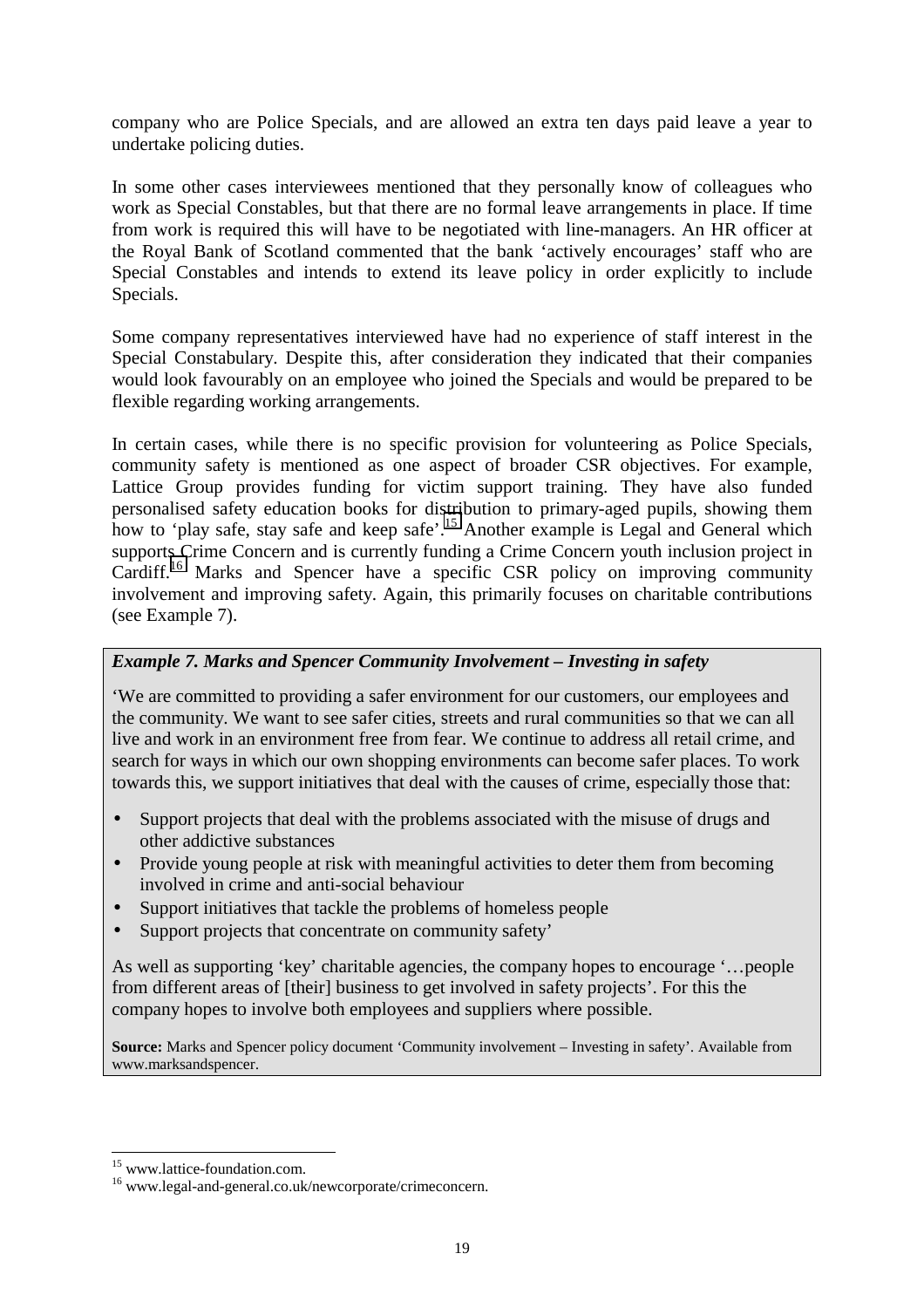company who are Police Specials, and are allowed an extra ten days paid leave a year to undertake policing duties.

In some other cases interviewees mentioned that they personally know of colleagues who work as Special Constables, but that there are no formal leave arrangements in place. If time from work is required this will have to be negotiated with line-managers. An HR officer at the Royal Bank of Scotland commented that the bank 'actively encourages' staff who are Special Constables and intends to extend its leave policy in order explicitly to include Specials.

Some company representatives interviewed have had no experience of staff interest in the Special Constabulary. Despite this, after consideration they indicated that their companies would look favourably on an employee who joined the Specials and would be prepared to be flexible regarding working arrangements.

In certain cases, while there is no specific provision for volunteering as Police Specials, community safety is mentioned as one aspect of broader CSR objectives. For example, Lattice Group provides funding for victim support training. They have also funded personalised safety education books for distribution to primary-aged pupils, showing them how to 'play safe, stay safe and keep safe'.<sup>15</sup> Another example is Legal and General which supports Crime Concern and is currently funding a Crime Concern youth inclusion project in Cardiff.<sup>16</sup> Marks and Spencer have a specific CSR policy on improving community involvement and improving safety. Again, this primarily focuses on charitable contributions (see Example 7).

#### *Example 7. Marks and Spencer Community Involvement – Investing in safety*

'We are committed to providing a safer environment for our customers, our employees and the community. We want to see safer cities, streets and rural communities so that we can all live and work in an environment free from fear. We continue to address all retail crime, and search for ways in which our own shopping environments can become safer places. To work towards this, we support initiatives that deal with the causes of crime, especially those that:

- Support projects that deal with the problems associated with the misuse of drugs and other addictive substances
- Provide young people at risk with meaningful activities to deter them from becoming involved in crime and anti-social behaviour
- Support initiatives that tackle the problems of homeless people
- Support projects that concentrate on community safety'

As well as supporting 'key' charitable agencies, the company hopes to encourage '…people from different areas of [their] business to get involved in safety projects'. For this the company hopes to involve both employees and suppliers where possible.

**Source:** Marks and Spencer policy document 'Community involvement – Investing in safety'. Available from www.marksandspencer.

<sup>&</sup>lt;sup>15</sup> www.lattice-foundation.com.

 $16$  www.legal-and-general.co.uk/newcorporate/crimeconcern.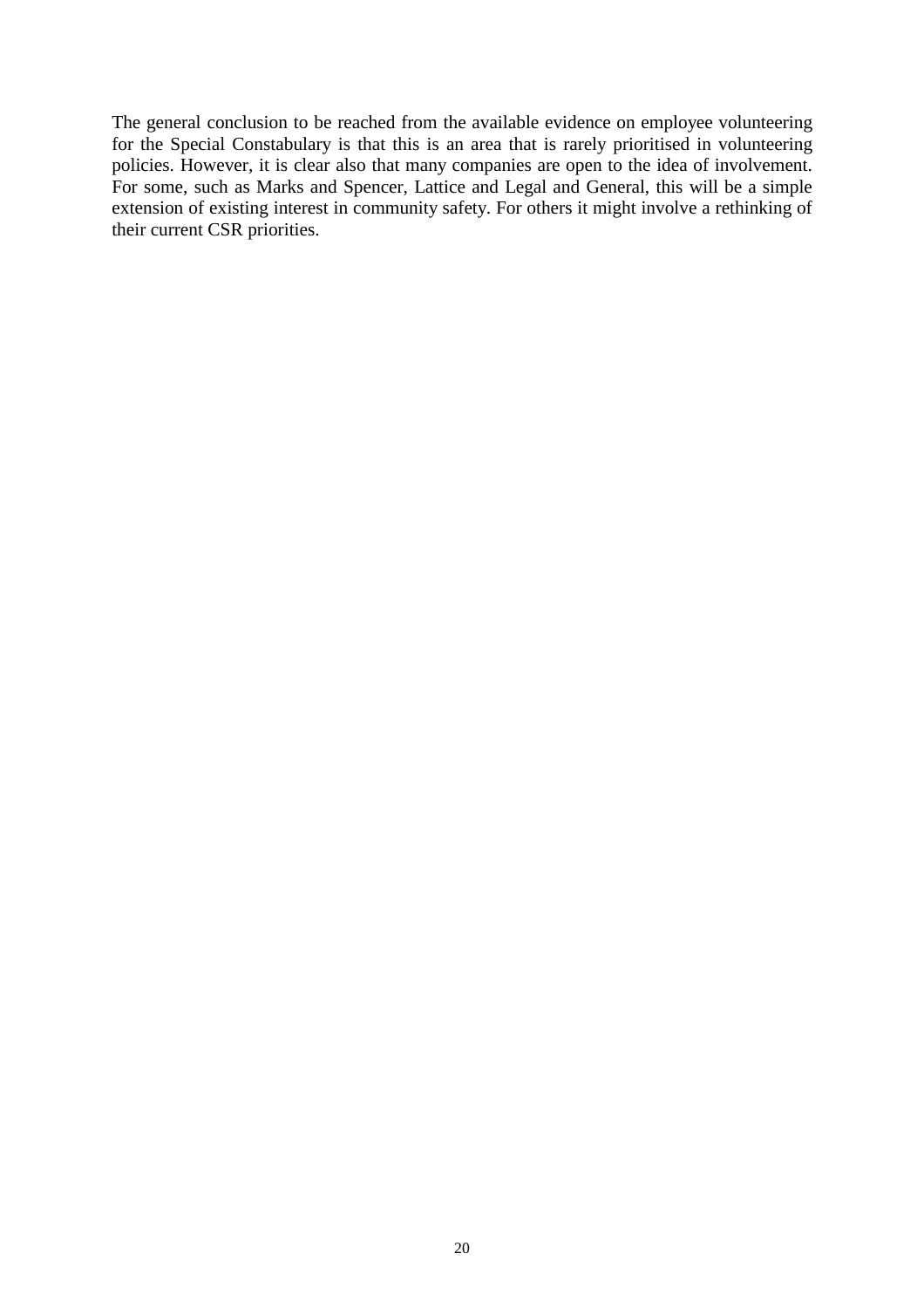The general conclusion to be reached from the available evidence on employee volunteering for the Special Constabulary is that this is an area that is rarely prioritised in volunteering policies. However, it is clear also that many companies are open to the idea of involvement. For some, such as Marks and Spencer, Lattice and Legal and General, this will be a simple extension of existing interest in community safety. For others it might involve a rethinking of their current CSR priorities.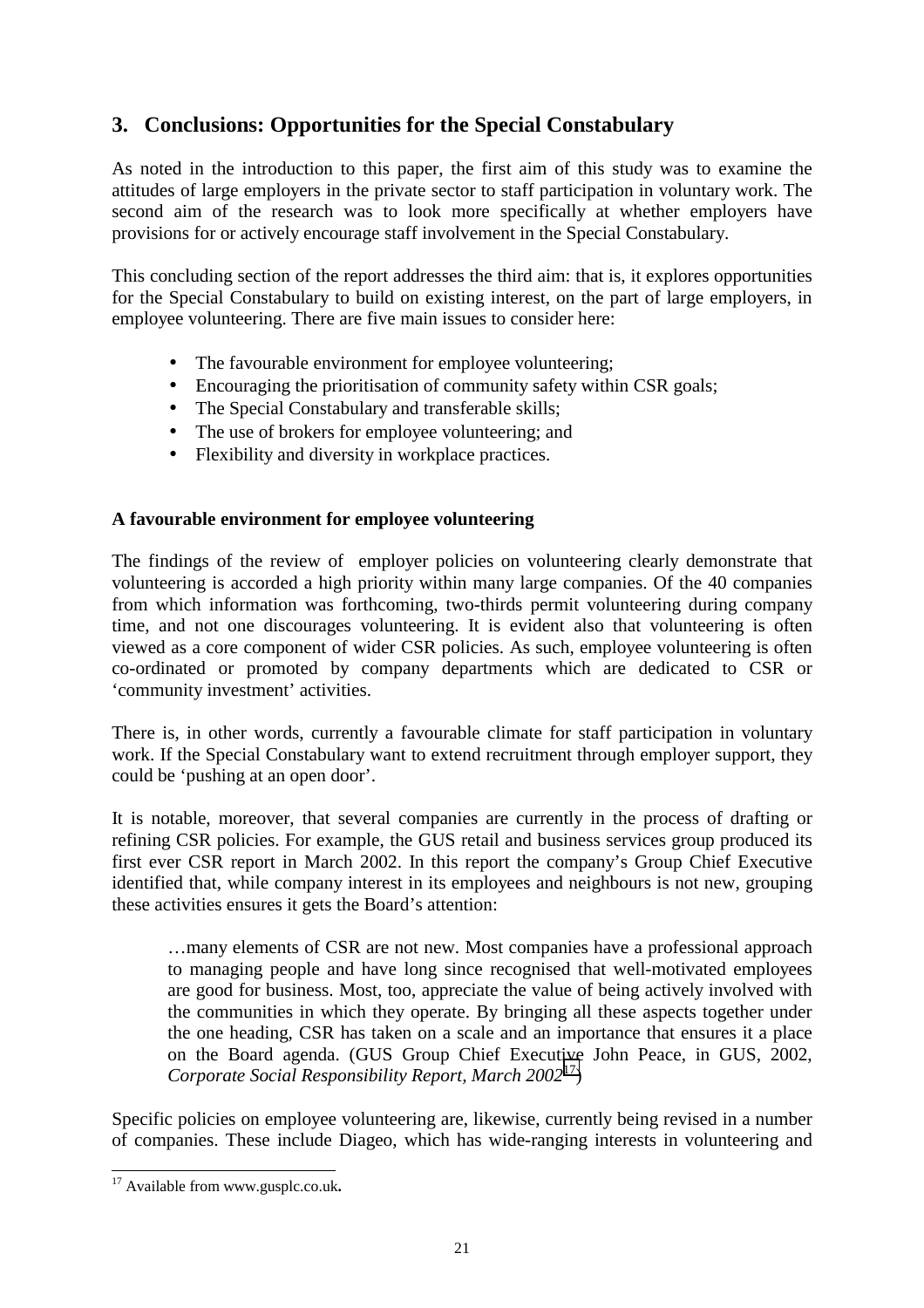### **3. Conclusions: Opportunities for the Special Constabulary**

As noted in the introduction to this paper, the first aim of this study was to examine the attitudes of large employers in the private sector to staff participation in voluntary work. The second aim of the research was to look more specifically at whether employers have provisions for or actively encourage staff involvement in the Special Constabulary.

This concluding section of the report addresses the third aim: that is, it explores opportunities for the Special Constabulary to build on existing interest, on the part of large employers, in employee volunteering. There are five main issues to consider here:

- The favourable environment for employee volunteering;
- Encouraging the prioritisation of community safety within CSR goals;
- The Special Constabulary and transferable skills:
- The use of brokers for employee volunteering; and
- Flexibility and diversity in workplace practices.

#### **A favourable environment for employee volunteering**

The findings of the review of employer policies on volunteering clearly demonstrate that volunteering is accorded a high priority within many large companies. Of the 40 companies from which information was forthcoming, two-thirds permit volunteering during company time, and not one discourages volunteering. It is evident also that volunteering is often viewed as a core component of wider CSR policies. As such, employee volunteering is often co-ordinated or promoted by company departments which are dedicated to CSR or 'community investment' activities.

There is, in other words, currently a favourable climate for staff participation in voluntary work. If the Special Constabulary want to extend recruitment through employer support, they could be 'pushing at an open door'.

It is notable, moreover, that several companies are currently in the process of drafting or refining CSR policies. For example, the GUS retail and business services group produced its first ever CSR report in March 2002. In this report the company's Group Chief Executive identified that, while company interest in its employees and neighbours is not new, grouping these activities ensures it gets the Board's attention:

…many elements of CSR are not new. Most companies have a professional approach to managing people and have long since recognised that well-motivated employees are good for business. Most, too, appreciate the value of being actively involved with the communities in which they operate. By bringing all these aspects together under the one heading, CSR has taken on a scale and an importance that ensures it a place on the Board agenda. (GUS Group Chief Executive John Peace, in GUS, 2002, *Corporate Social Responsibility Report, March 2002*17)

Specific policies on employee volunteering are, likewise, currently being revised in a number of companies. These include Diageo, which has wide-ranging interests in volunteering and

 $\overline{\phantom{a}}$ 17 Available from www.gusplc.co.uk**.**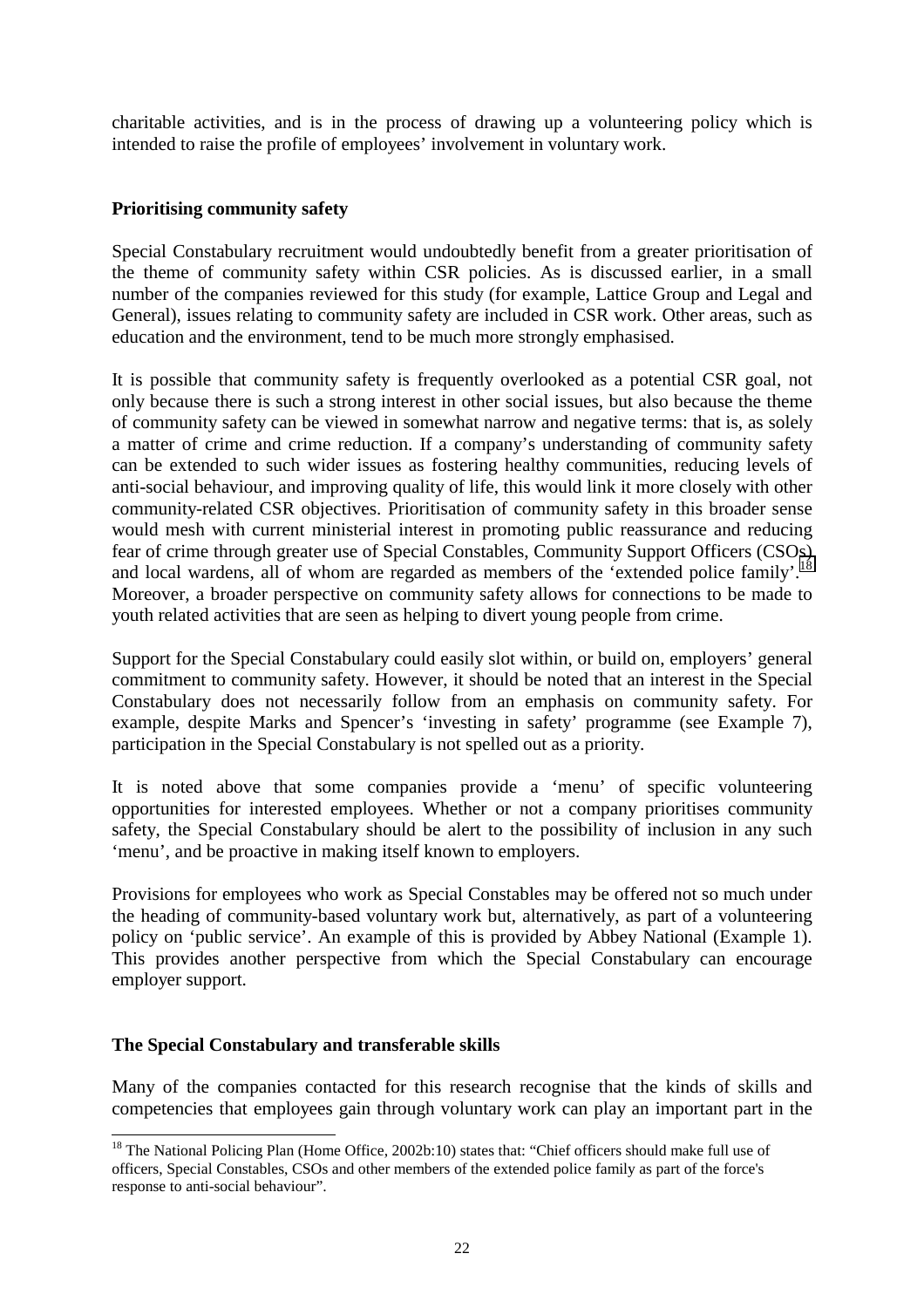charitable activities, and is in the process of drawing up a volunteering policy which is intended to raise the profile of employees' involvement in voluntary work.

#### **Prioritising community safety**

Special Constabulary recruitment would undoubtedly benefit from a greater prioritisation of the theme of community safety within CSR policies. As is discussed earlier, in a small number of the companies reviewed for this study (for example, Lattice Group and Legal and General), issues relating to community safety are included in CSR work. Other areas, such as education and the environment, tend to be much more strongly emphasised.

It is possible that community safety is frequently overlooked as a potential CSR goal, not only because there is such a strong interest in other social issues, but also because the theme of community safety can be viewed in somewhat narrow and negative terms: that is, as solely a matter of crime and crime reduction. If a company's understanding of community safety can be extended to such wider issues as fostering healthy communities, reducing levels of anti-social behaviour, and improving quality of life, this would link it more closely with other community-related CSR objectives. Prioritisation of community safety in this broader sense would mesh with current ministerial interest in promoting public reassurance and reducing fear of crime through greater use of Special Constables, Community Support Officers (CSOs) and local wardens, all of whom are regarded as members of the 'extended police family'.<sup>18</sup> Moreover, a broader perspective on community safety allows for connections to be made to youth related activities that are seen as helping to divert young people from crime.

Support for the Special Constabulary could easily slot within, or build on, employers' general commitment to community safety. However, it should be noted that an interest in the Special Constabulary does not necessarily follow from an emphasis on community safety. For example, despite Marks and Spencer's 'investing in safety' programme (see Example 7), participation in the Special Constabulary is not spelled out as a priority.

It is noted above that some companies provide a 'menu' of specific volunteering opportunities for interested employees. Whether or not a company prioritises community safety, the Special Constabulary should be alert to the possibility of inclusion in any such 'menu', and be proactive in making itself known to employers.

Provisions for employees who work as Special Constables may be offered not so much under the heading of community-based voluntary work but, alternatively, as part of a volunteering policy on 'public service'. An example of this is provided by Abbey National (Example 1). This provides another perspective from which the Special Constabulary can encourage employer support.

#### **The Special Constabulary and transferable skills**

 $\overline{a}$ 

Many of the companies contacted for this research recognise that the kinds of skills and competencies that employees gain through voluntary work can play an important part in the

<sup>&</sup>lt;sup>18</sup> The National Policing Plan (Home Office, 2002b:10) states that: "Chief officers should make full use of officers, Special Constables, CSOs and other members of the extended police family as part of the force's response to anti-social behaviour".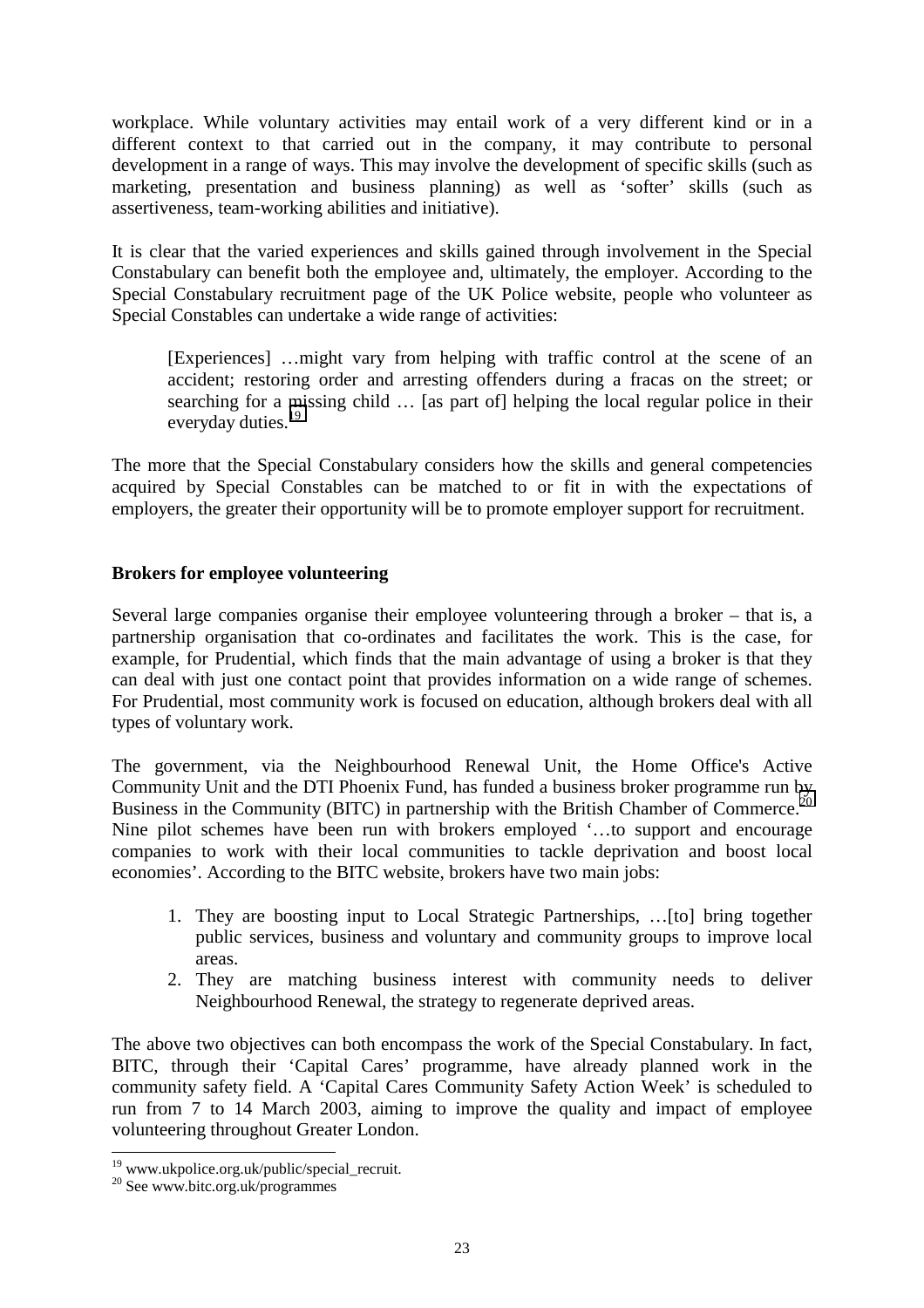workplace. While voluntary activities may entail work of a very different kind or in a different context to that carried out in the company, it may contribute to personal development in a range of ways. This may involve the development of specific skills (such as marketing, presentation and business planning) as well as 'softer' skills (such as assertiveness, team-working abilities and initiative).

It is clear that the varied experiences and skills gained through involvement in the Special Constabulary can benefit both the employee and, ultimately, the employer. According to the Special Constabulary recruitment page of the UK Police website, people who volunteer as Special Constables can undertake a wide range of activities:

[Experiences] …might vary from helping with traffic control at the scene of an accident; restoring order and arresting offenders during a fracas on the street; or searching for a missing child … [as part of] helping the local regular police in their everyday duties.<sup>19</sup>

The more that the Special Constabulary considers how the skills and general competencies acquired by Special Constables can be matched to or fit in with the expectations of employers, the greater their opportunity will be to promote employer support for recruitment.

#### **Brokers for employee volunteering**

Several large companies organise their employee volunteering through a broker – that is, a partnership organisation that co-ordinates and facilitates the work. This is the case, for example, for Prudential, which finds that the main advantage of using a broker is that they can deal with just one contact point that provides information on a wide range of schemes. For Prudential, most community work is focused on education, although brokers deal with all types of voluntary work.

The government, via the Neighbourhood Renewal Unit, the Home Office's Active Community Unit and the DTI Phoenix Fund, has funded a business broker programme run by Business in the Community (BITC) in partnership with the British Chamber of Commerce.<sup>20</sup> Nine pilot schemes have been run with brokers employed '…to support and encourage companies to work with their local communities to tackle deprivation and boost local economies'. According to the BITC website, brokers have two main jobs:

- 1. They are boosting input to Local Strategic Partnerships, …[to] bring together public services, business and voluntary and community groups to improve local areas.
- 2. They are matching business interest with community needs to deliver Neighbourhood Renewal, the strategy to regenerate deprived areas.

The above two objectives can both encompass the work of the Special Constabulary. In fact, BITC, through their 'Capital Cares' programme, have already planned work in the community safety field. A 'Capital Cares Community Safety Action Week' is scheduled to run from 7 to 14 March 2003, aiming to improve the quality and impact of employee volunteering throughout Greater London.

<sup>&</sup>lt;sup>19</sup> www.ukpolice.org.uk/public/special\_recruit.

<sup>20</sup> See www.bitc.org.uk/programmes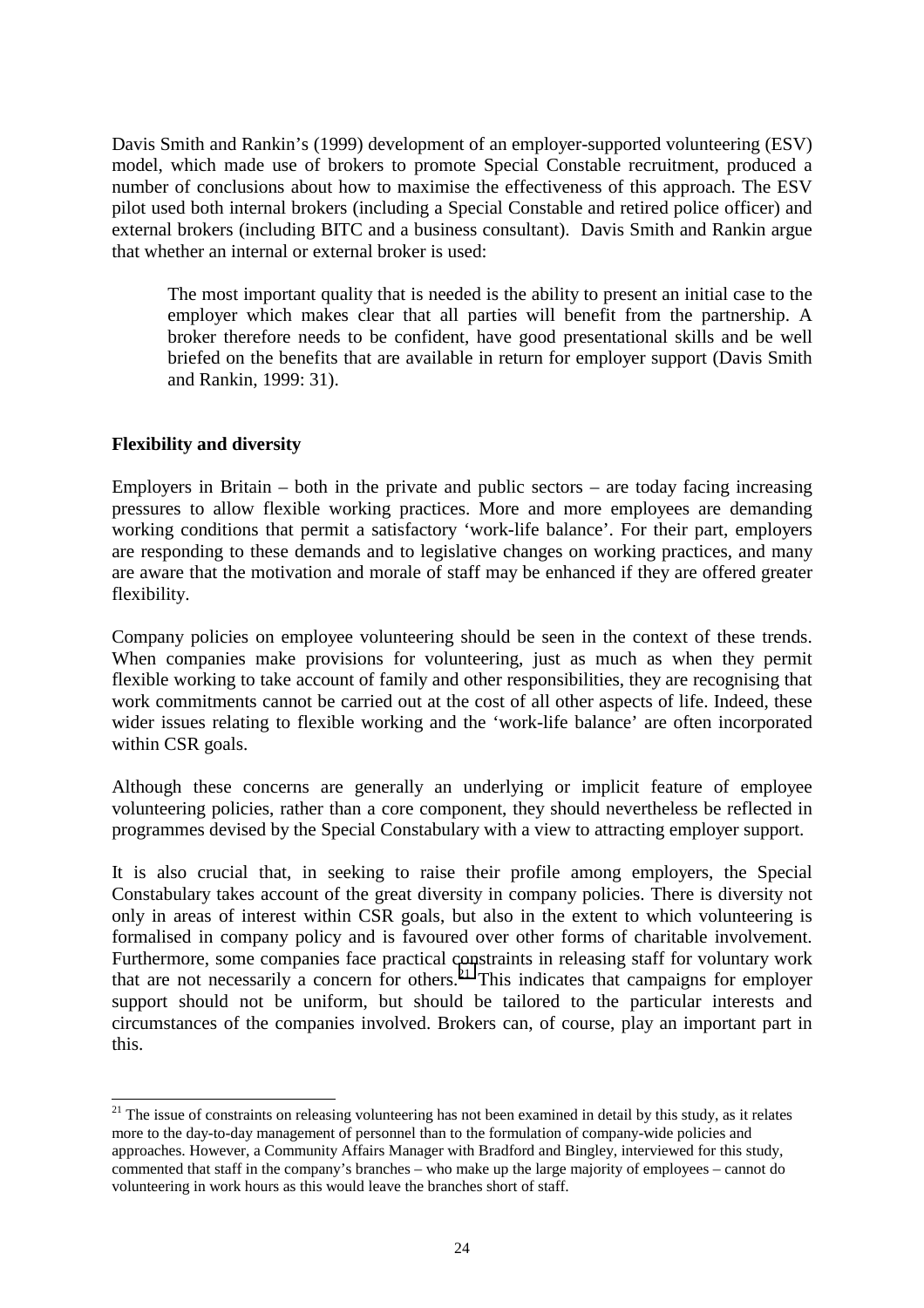Davis Smith and Rankin's (1999) development of an employer-supported volunteering (ESV) model, which made use of brokers to promote Special Constable recruitment, produced a number of conclusions about how to maximise the effectiveness of this approach. The ESV pilot used both internal brokers (including a Special Constable and retired police officer) and external brokers (including BITC and a business consultant). Davis Smith and Rankin argue that whether an internal or external broker is used:

The most important quality that is needed is the ability to present an initial case to the employer which makes clear that all parties will benefit from the partnership. A broker therefore needs to be confident, have good presentational skills and be well briefed on the benefits that are available in return for employer support (Davis Smith and Rankin, 1999: 31).

#### **Flexibility and diversity**

 $\overline{\phantom{a}}$ 

Employers in Britain – both in the private and public sectors – are today facing increasing pressures to allow flexible working practices. More and more employees are demanding working conditions that permit a satisfactory 'work-life balance'. For their part, employers are responding to these demands and to legislative changes on working practices, and many are aware that the motivation and morale of staff may be enhanced if they are offered greater flexibility.

Company policies on employee volunteering should be seen in the context of these trends. When companies make provisions for volunteering, just as much as when they permit flexible working to take account of family and other responsibilities, they are recognising that work commitments cannot be carried out at the cost of all other aspects of life. Indeed, these wider issues relating to flexible working and the 'work-life balance' are often incorporated within CSR goals.

Although these concerns are generally an underlying or implicit feature of employee volunteering policies, rather than a core component, they should nevertheless be reflected in programmes devised by the Special Constabulary with a view to attracting employer support.

It is also crucial that, in seeking to raise their profile among employers, the Special Constabulary takes account of the great diversity in company policies. There is diversity not only in areas of interest within CSR goals, but also in the extent to which volunteering is formalised in company policy and is favoured over other forms of charitable involvement. Furthermore, some companies face practical constraints in releasing staff for voluntary work that are not necessarily a concern for others.<sup>21</sup> This indicates that campaigns for employer support should not be uniform, but should be tailored to the particular interests and circumstances of the companies involved. Brokers can, of course, play an important part in this.

 $21$  The issue of constraints on releasing volunteering has not been examined in detail by this study, as it relates more to the day-to-day management of personnel than to the formulation of company-wide policies and approaches. However, a Community Affairs Manager with Bradford and Bingley, interviewed for this study, commented that staff in the company's branches – who make up the large majority of employees – cannot do volunteering in work hours as this would leave the branches short of staff.